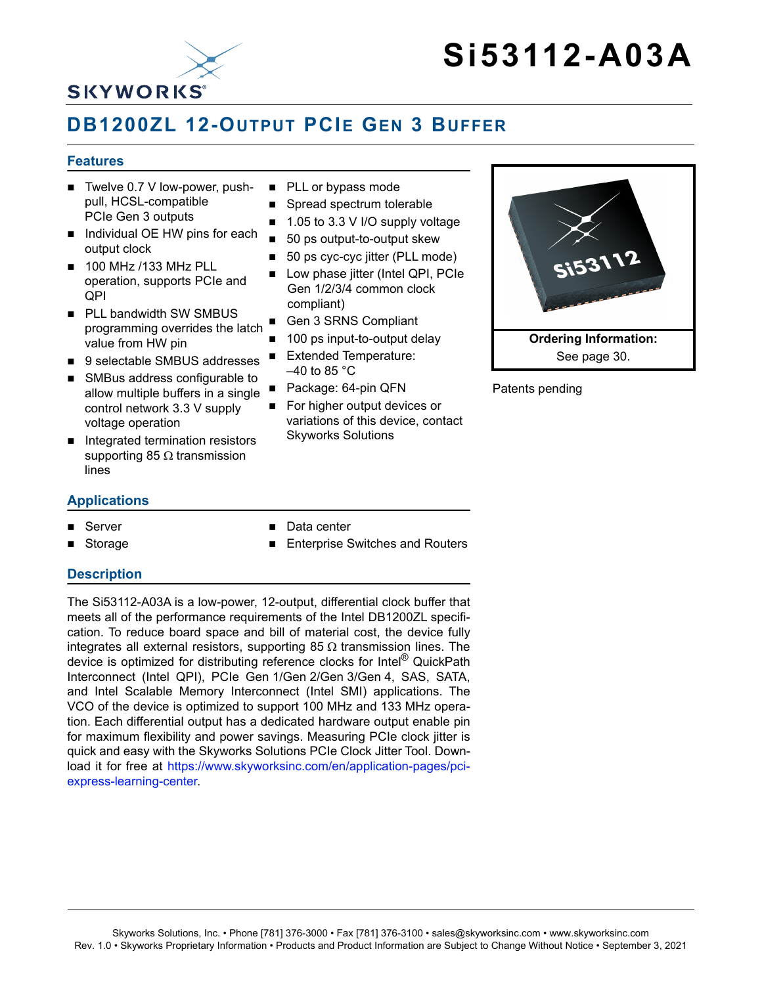

# **DB1200ZL 12-OUTPUT PCIE GEN 3 BUFFER**

#### **Features**

- $\blacksquare$  Twelve 0.7 V low-power, pushpull, HCSL-compatible PCIe Gen 3 outputs
- Individual OE HW pins for each output clock
- **100 MHz /133 MHz PLL** operation, supports PCIe and QPI
- **PLL bandwidth SW SMBUS** programming overrides the latch value from HW pin
- 9 selectable SMBUS addresses
- SMBus address configurable to allow multiple buffers in a single control network 3.3 V supply voltage operation
- Integrated termination resistors supporting 85  $\Omega$  transmission lines

#### **Applications**

- Server
- Storage
- PLL or bypass mode
- Spread spectrum tolerable
- $\blacksquare$  1.05 to 3.3 V I/O supply voltage
- 50 ps output-to-output skew
- 50 ps cyc-cyc jitter (PLL mode)
- **Low phase jitter (Intel QPI, PCIe** Gen 1/2/3/4 common clock compliant)
- Gen 3 SRNS Compliant
- 100 ps input-to-output delay
- Extended Temperature:  $-40$  to 85  $^{\circ}$ C
- Package: 64-pin QFN
- For higher output devices or variations of this device, contact Skyworks Solutions



Patents pending

- Data center
	- Enterprise Switches and Routers

#### **Description**

The Si53112-A03A is a low-power, 12-output, differential clock buffer that meets all of the performance requirements of the Intel DB1200ZL specification. To reduce board space and bill of material cost, the device fully integrates all external resistors, supporting 85  $\Omega$  transmission lines. The device is optimized for distributing reference clocks for Intel® QuickPath Interconnect (Intel QPI), PCIe Gen 1/Gen 2/Gen 3/Gen 4, SAS, SATA, and Intel Scalable Memory Interconnect (Intel SMI) applications. The VCO of the device is optimized to support 100 MHz and 133 MHz operation. Each differential output has a dedicated hardware output enable pin for maximum flexibility and power savings. Measuring PCIe clock jitter is quick and easy with the Skyworks Solutions PCIe Clock Jitter Tool. Download it for free at [https://www.skyworksinc.com/en/application-pages/pci](https://www.skyworksinc.com/en/application-pages/pci-express-learning-center)[express-learning-center](https://www.skyworksinc.com/en/application-pages/pci-express-learning-center).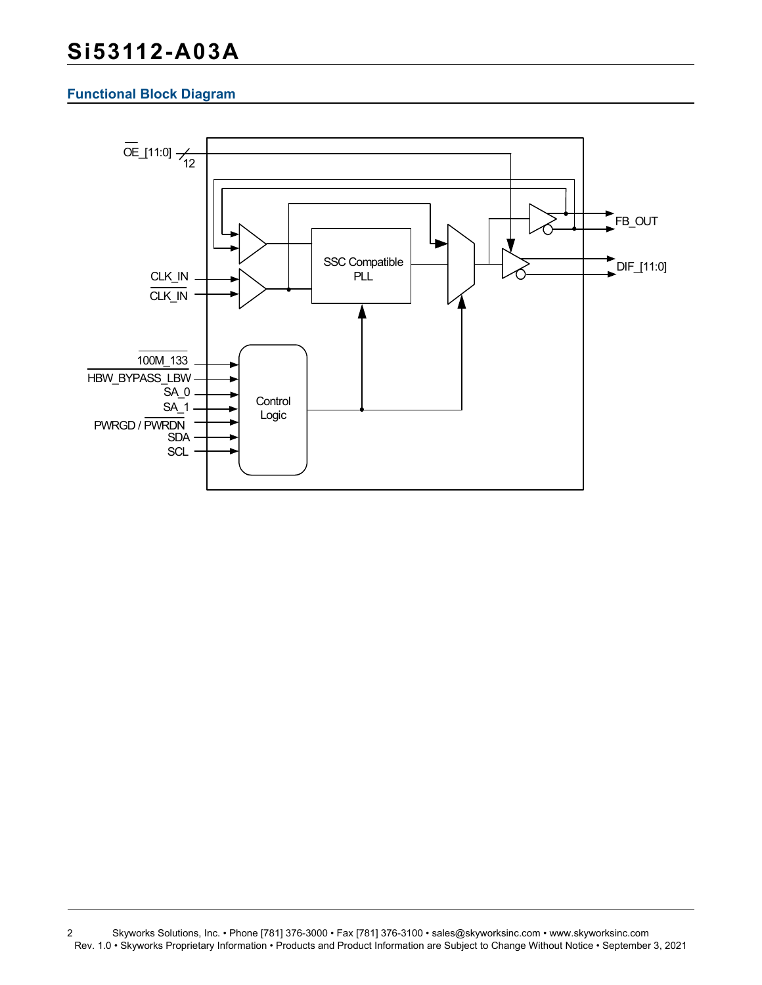#### **Functional Block Diagram**



<sup>2</sup> Skyworks Solutions, Inc. • Phone [781] 376-3000 • Fax [781] 376-3100 • sales@skyworksinc.com • www.skyworksinc.com Rev. 1.0 • Skyworks Proprietary Information • Products and Product Information are Subject to Change Without Notice • September 3, 2021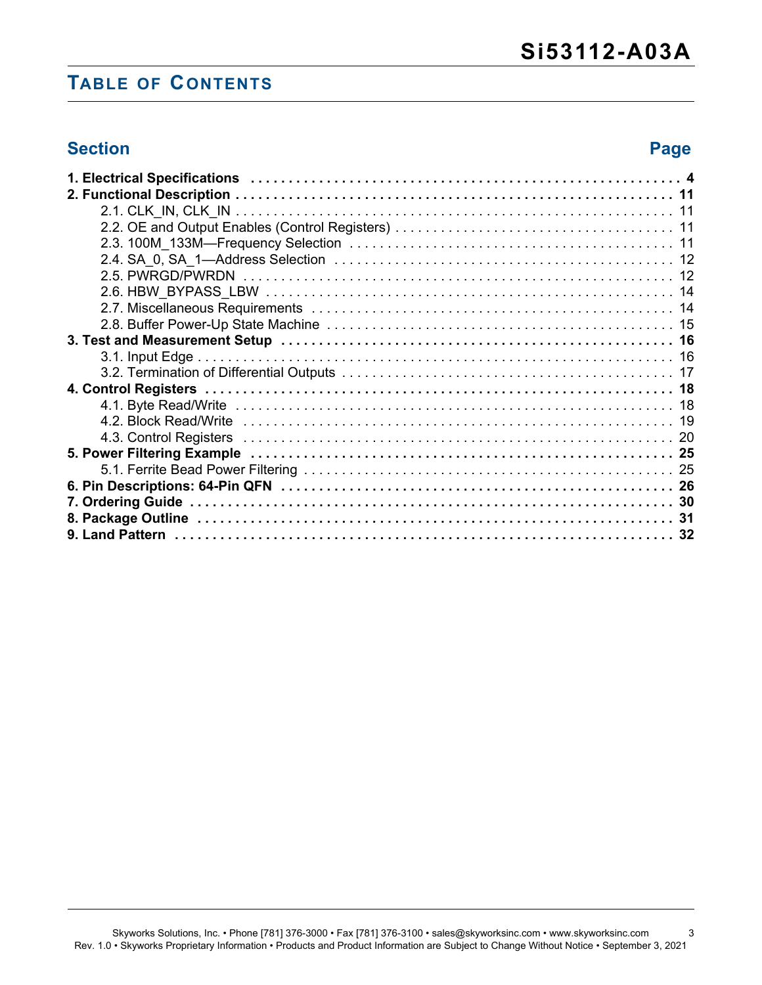# **TABLE OF CONTENTS**

## **Section Page**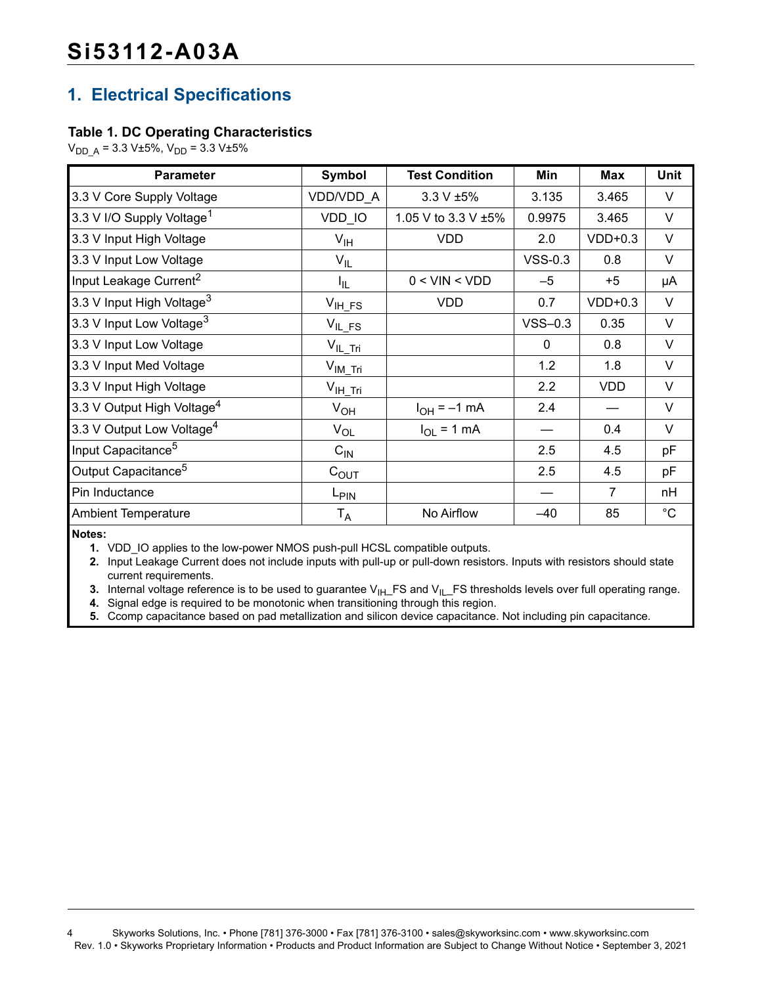# **1. Electrical Specifications**

#### **Table 1. DC Operating Characteristics**

 $V_{DD \text{ A}} = 3.3 \text{ V±}5\%, V_{DD} = 3.3 \text{ V±}5\%$ 

| <b>Parameter</b>                       | Symbol             | <b>Test Condition</b> | Min          | Max            | <b>Unit</b> |
|----------------------------------------|--------------------|-----------------------|--------------|----------------|-------------|
| 3.3 V Core Supply Voltage              | VDD/VDD_A          | $3.3 V \pm 5\%$       | 3.135        | 3.465          | $\vee$      |
| 3.3 V I/O Supply Voltage <sup>1</sup>  | VDD_IO             | 1.05 V to 3.3 V ±5%   | 0.9975       | 3.465          | V           |
| 3.3 V Input High Voltage               | $V_{\text{IH}}$    | <b>VDD</b>            | 2.0          | $VDD+0.3$      | V           |
| 3.3 V Input Low Voltage                | $V_{IL}$           |                       | $VSS-0.3$    | 0.8            | $\vee$      |
| Input Leakage Current <sup>2</sup>     | $I_{\rm IL}$       | $0 <$ VIN $<$ VDD     | $-5$         | $+5$           | μA          |
| 3.3 V Input High Voltage <sup>3</sup>  | $V_{\text{IH}}$ FS | <b>VDD</b>            | 0.7          | $VDD+0.3$      | V           |
| 3.3 V Input Low Voltage <sup>3</sup>   | $V_{IL,FS}$        |                       | $VSS-0.3$    | 0.35           | $\vee$      |
| 3.3 V Input Low Voltage                | $V_{IL\_Tri}$      |                       | $\mathbf{0}$ | 0.8            | V           |
| 3.3 V Input Med Voltage                | $V_{IM\_Tri}$      |                       | 1.2          | 1.8            | V           |
| 3.3 V Input High Voltage               | $V_{IH\_Tri}$      |                       | 2.2          | <b>VDD</b>     | V           |
| 3.3 V Output High Voltage <sup>4</sup> | $V_{OH}$           | $I_{OH} = -1$ mA      | 2.4          |                | V           |
| 3.3 V Output Low Voltage <sup>4</sup>  | $V_{OL}$           | $I_{OL}$ = 1 mA       |              | 0.4            | $\vee$      |
| Input Capacitance <sup>5</sup>         | $C_{IN}$           |                       | 2.5          | 4.5            | pF          |
| Output Capacitance <sup>5</sup>        | $C_{\text{OUT}}$   |                       | 2.5          | 4.5            | pF          |
| Pin Inductance                         | L <sub>PIN</sub>   |                       |              | $\overline{7}$ | nH          |
| <b>Ambient Temperature</b>             | $T_A$              | No Airflow            | $-40$        | 85             | $^{\circ}C$ |

<span id="page-3-0"></span>**Notes:**

**1.** VDD IO applies to the low-power NMOS push-pull HCSL compatible outputs.

<span id="page-3-1"></span>**2.** Input Leakage Current does not include inputs with pull-up or pull-down resistors. Inputs with resistors should state current requirements.

<span id="page-3-2"></span>**3.** Internal voltage reference is to be used to guarantee V<sub>IH</sub>\_FS and V<sub>IL</sub>\_FS thresholds levels over full operating range.

<span id="page-3-4"></span>**4.** Signal edge is required to be monotonic when transitioning through this region.

<span id="page-3-3"></span>**5.** Ccomp capacitance based on pad metallization and silicon device capacitance. Not including pin capacitance.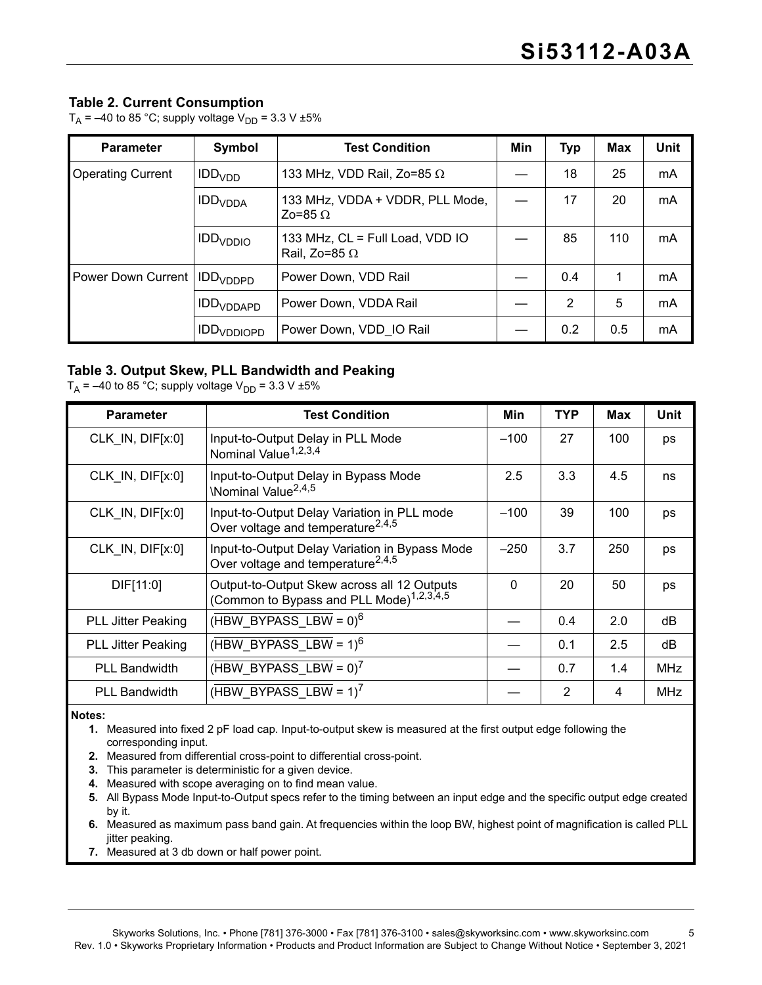#### **Table 2. Current Consumption**

 $T_A$  = -40 to 85 °C; supply voltage V<sub>DD</sub> = 3.3 V ±5%

| <b>Parameter</b>                          | Symbol                                         | <b>Test Condition</b>                                        | Min | Typ | Max | Unit |
|-------------------------------------------|------------------------------------------------|--------------------------------------------------------------|-----|-----|-----|------|
| <b>Operating Current</b>                  | IDD <sub>VDD</sub>                             | 133 MHz, VDD Rail, Zo=85 $\Omega$                            |     | 18  | 25  | mA   |
|                                           | IDD <sub>VDDA</sub>                            | 133 MHz, VDDA + VDDR, PLL Mode,<br>Zo=85 $\Omega$            |     | 17  | 20  | mA   |
|                                           | IDD <sub>VDDIO</sub>                           | 133 MHz, $CL = Full Load$ , $VDD IO$<br>Rail. Zo=85 $\Omega$ |     | 85  | 110 | mA   |
| Power Down Current   IDD <sub>VDDPD</sub> | Power Down, VDD Rail                           |                                                              |     | 0.4 | 1   | mA   |
|                                           | Power Down, VDDA Rail<br>IDD <sub>VDDAPD</sub> |                                                              |     | 2   | 5   | mA   |
|                                           | IDD <sub>VDDIOPD</sub>                         | Power Down, VDD IO Rail                                      |     | 0.2 | 0.5 | mA   |

#### **Table 3. Output Skew, PLL Bandwidth and Peaking**

 $T_A$  = –40 to 85 °C; supply voltage  $V_{DD}$  = 3.3 V ±5%

| <b>Parameter</b>          | <b>Test Condition</b>                                                                               | Min    | <b>TYP</b>     | Max | Unit       |
|---------------------------|-----------------------------------------------------------------------------------------------------|--------|----------------|-----|------------|
| CLK IN, DIF[x:0]          | Input-to-Output Delay in PLL Mode<br>Nominal Value <sup>1,2,3,4</sup>                               | $-100$ | 27             | 100 | ps         |
| CLK IN, DIF[x:0]          | Input-to-Output Delay in Bypass Mode<br>\Nominal Value <sup>2,4,5</sup>                             | 2.5    | 3.3            | 4.5 | ns         |
| CLK_IN, DIF[x:0]          | Input-to-Output Delay Variation in PLL mode<br>Over voltage and temperature <sup>2,4,5</sup>        | $-100$ | 39             | 100 | ps         |
| CLK IN, DIF[x:0]          | Input-to-Output Delay Variation in Bypass Mode<br>Over voltage and temperature <sup>2,4,5</sup>     | $-250$ | 3.7            | 250 | ps         |
| DIF[11:0]                 | Output-to-Output Skew across all 12 Outputs<br>(Common to Bypass and PLL Mode) <sup>1,2,3,4,5</sup> | 0      | 20             | 50  | ps         |
| <b>PLL Jitter Peaking</b> | $(HBW$ BYPASS LBW = $0)^6$                                                                          |        | 0.4            | 2.0 | dB         |
| <b>PLL Jitter Peaking</b> | $(HBW$ BYPASS LBW = 1) <sup>6</sup>                                                                 |        | 0.1            | 2.5 | dB         |
| <b>PLL Bandwidth</b>      | $(HBW$ BYPASS LBW = 0) <sup>7</sup>                                                                 |        | 0.7            | 1.4 | <b>MHz</b> |
| <b>PLL Bandwidth</b>      | (HBW BYPASS LBW = $1$ ) <sup>7</sup>                                                                |        | $\overline{2}$ | 4   | <b>MHz</b> |

#### <span id="page-4-0"></span>**Notes:**

- **1.** Measured into fixed 2 pF load cap. Input-to-output skew is measured at the first output edge following the corresponding input.
- <span id="page-4-1"></span>**2.** Measured from differential cross-point to differential cross-point.
- <span id="page-4-2"></span>**3.** This parameter is deterministic for a given device.
- <span id="page-4-3"></span>**4.** Measured with scope averaging on to find mean value.
- <span id="page-4-4"></span>**5.** All Bypass Mode Input-to-Output specs refer to the timing between an input edge and the specific output edge created by it.
- <span id="page-4-5"></span>**6.** Measured as maximum pass band gain. At frequencies within the loop BW, highest point of magnification is called PLL jitter peaking.
- <span id="page-4-6"></span>**7.** Measured at 3 db down or half power point.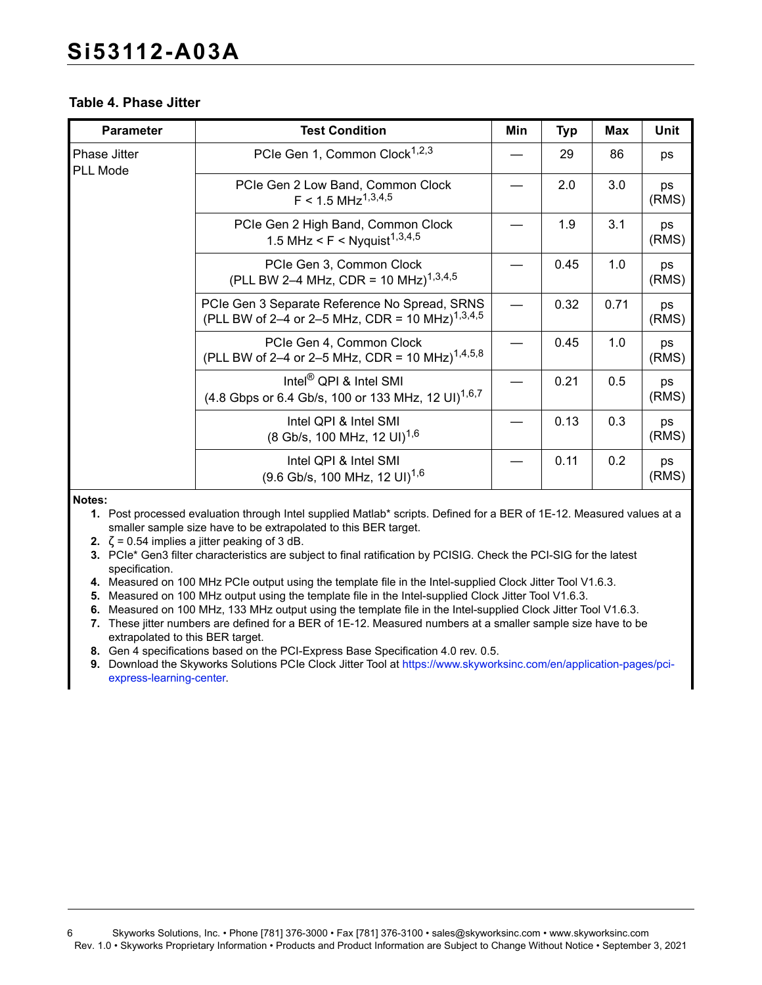#### **Table 4. Phase Jitter**

| <b>Parameter</b>                | <b>Test Condition</b>                                                                                        | Min | <b>Typ</b> | <b>Max</b> | <b>Unit</b> |
|---------------------------------|--------------------------------------------------------------------------------------------------------------|-----|------------|------------|-------------|
| Phase Jitter<br><b>PLL Mode</b> | PCIe Gen 1, Common Clock <sup>1,2,3</sup>                                                                    |     | 29         | 86         | ps          |
|                                 | PCIe Gen 2 Low Band, Common Clock<br>$F < 1.5$ MHz <sup>1,3,4,5</sup>                                        |     | 2.0        | 3.0        | ps<br>(RMS) |
|                                 | PCIe Gen 2 High Band, Common Clock<br>1.5 MHz < F < Nyquist <sup>1,3,4,5</sup>                               |     | 1.9        | 3.1        | ps<br>(RMS) |
|                                 | PCIe Gen 3, Common Clock<br>(PLL BW 2-4 MHz, CDR = 10 MHz) <sup>1,3,4,5</sup>                                |     | 0.45       | 1.0        | ps<br>(RMS) |
|                                 | PCIe Gen 3 Separate Reference No Spread, SRNS<br>(PLL BW of 2–4 or 2–5 MHz, CDR = 10 MHz) <sup>1,3,4,5</sup> |     | 0.32       | 0.71       | ps<br>(RMS) |
|                                 | PCIe Gen 4, Common Clock<br>(PLL BW of 2-4 or 2-5 MHz, CDR = 10 MHz) <sup>1,4,5,8</sup>                      |     | 0.45       | 1.0        | ps<br>(RMS) |
|                                 | Intel $^{\circledR}$ QPI & Intel SMI<br>(4.8 Gbps or 6.4 Gb/s, 100 or 133 MHz, 12 UI) <sup>1,6,7</sup>       |     | 0.21       | 0.5        | ps<br>(RMS) |
|                                 | Intel QPI & Intel SMI<br>(8 Gb/s, 100 MHz, 12 UI) <sup>1,6</sup>                                             |     | 0.13       | 0.3        | ps<br>(RMS) |
|                                 | Intel QPI & Intel SMI<br>$(9.6 \text{ Gb/s}, 100 \text{ MHz}, 12 \text{ UI})^{1,6}$                          |     | 0.11       | 0.2        | ps<br>(RMS) |

#### <span id="page-5-0"></span>**Notes:**

- **1.** Post processed evaluation through Intel supplied Matlab\* scripts. Defined for a BER of 1E-12. Measured values at a smaller sample size have to be extrapolated to this BER target.
- <span id="page-5-1"></span>**2.**  $\zeta$  = 0.54 implies a jitter peaking of 3 dB.
- <span id="page-5-2"></span>**3.** PCIe\* Gen3 filter characteristics are subject to final ratification by PCISIG. Check the PCI-SIG for the latest specification.
- <span id="page-5-3"></span>**4.** Measured on 100 MHz PCIe output using the template file in the Intel-supplied Clock Jitter Tool V1.6.3.
- <span id="page-5-4"></span>**5.** Measured on 100 MHz output using the template file in the Intel-supplied Clock Jitter Tool V1.6.3.
- <span id="page-5-5"></span>**6.** Measured on 100 MHz, 133 MHz output using the template file in the Intel-supplied Clock Jitter Tool V1.6.3.
- <span id="page-5-6"></span>**7.** These jitter numbers are defined for a BER of 1E-12. Measured numbers at a smaller sample size have to be extrapolated to this BER target.
- <span id="page-5-7"></span>**8.** Gen 4 specifications based on the PCI-Express Base Specification 4.0 rev. 0.5.
- **9.** Download the Skyworks Solutions PCIe Clock Jitter Tool at [https://www.skyworksinc.com/en/application-pages/pci](https://www.skyworksinc.com/en/application-pages/pci-express-learning-center)[express-learning-center](https://www.skyworksinc.com/en/application-pages/pci-express-learning-center).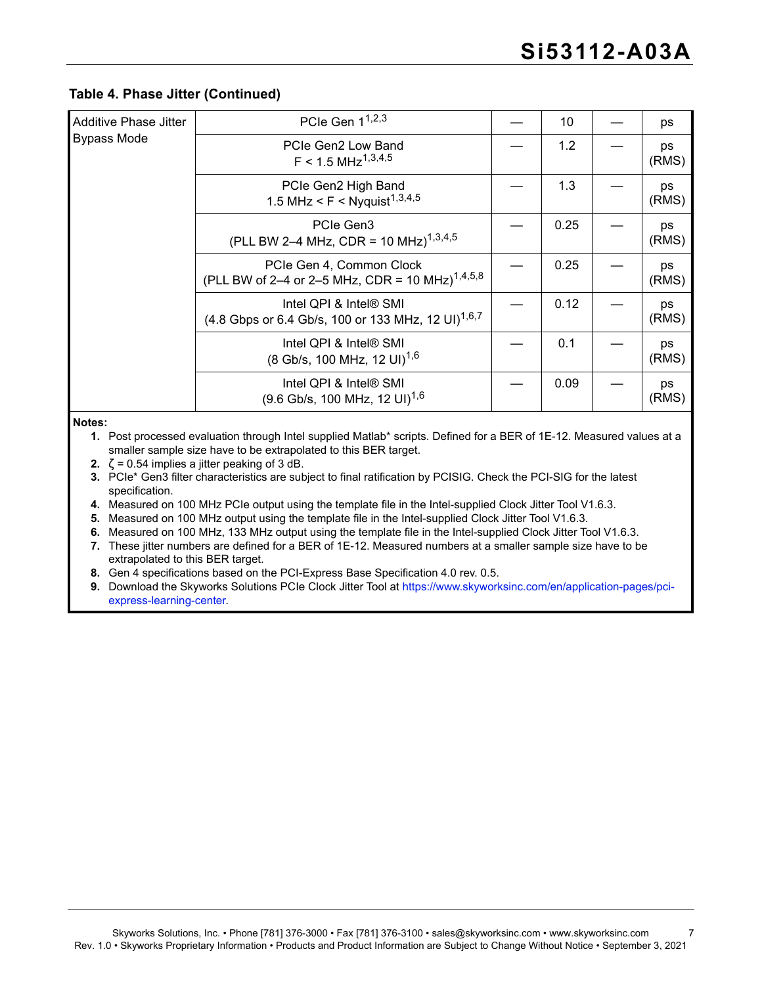#### **Table 4. Phase Jitter (Continued)**

| PCIe Gen 1 <sup>1,2,3</sup>                                                                          | 10   | ps          |
|------------------------------------------------------------------------------------------------------|------|-------------|
| PCIe Gen2 Low Band<br>$F < 1.5$ MHz <sup>1,3,4,5</sup>                                               | 1.2  | ps<br>(RMS) |
| PCIe Gen2 High Band<br>1.5 MHz < F < Nyquist <sup>1,3,4,5</sup>                                      | 1.3  | ps<br>(RMS) |
| PCIe Gen3<br>(PLL BW 2-4 MHz, CDR = 10 MHz) <sup>1,3,4,5</sup>                                       | 0.25 | ps<br>(RMS) |
| PCIe Gen 4, Common Clock<br>(PLL BW of 2-4 or 2-5 MHz, CDR = 10 MHz) <sup>1,4,5,8</sup>              | 0.25 | ps<br>(RMS) |
| Intel QPI & Intel <sup>®</sup> SMI<br>(4.8 Gbps or 6.4 Gb/s, 100 or 133 MHz, 12 UI) <sup>1,6,7</sup> | 0.12 | ps<br>(RMS) |
| Intel QPI & Intel® SMI<br>$(8 \text{Gb/s}, 100 \text{ MHz}, 12 \text{ UI})^{1,6}$                    | 0.1  | ps<br>(RMS) |
| Intel QPI & Intel® SMI<br>$(9.6 \text{Gb/s}, 100 \text{ MHz}, 12 \text{ UI})^{1,6}$                  | 0.09 | ps<br>(RMS) |
|                                                                                                      |      |             |

**Notes:**

**1.** Post processed evaluation through Intel supplied Matlab\* scripts. Defined for a BER of 1E-12. Measured values at a smaller sample size have to be extrapolated to this BER target.

**2.**  $\zeta$  = 0.54 implies a jitter peaking of 3 dB.

**3.** PCIe\* Gen3 filter characteristics are subject to final ratification by PCISIG. Check the PCI-SIG for the latest specification.

**4.** Measured on 100 MHz PCIe output using the template file in the Intel-supplied Clock Jitter Tool V1.6.3.

**5.** Measured on 100 MHz output using the template file in the Intel-supplied Clock Jitter Tool V1.6.3.

**6.** Measured on 100 MHz, 133 MHz output using the template file in the Intel-supplied Clock Jitter Tool V1.6.3.

**7.** These jitter numbers are defined for a BER of 1E-12. Measured numbers at a smaller sample size have to be extrapolated to this BER target.

**8.** Gen 4 specifications based on the PCI-Express Base Specification 4.0 rev. 0.5.

**9.** Download the Skyworks Solutions PCIe Clock Jitter Tool at https://www.skyworksinc.com/en/application-pages/pciexpress-learning-center.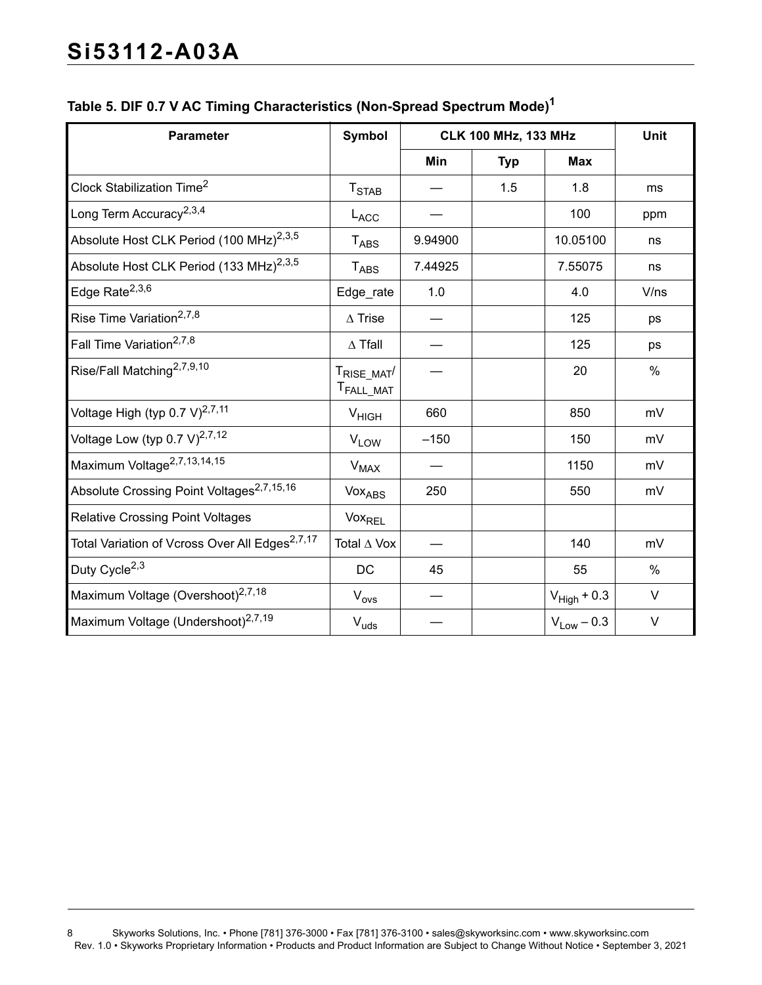| <b>Parameter</b>                                           | <b>Symbol</b>                                    |            | <b>CLK 100 MHz, 133 MHz</b> |                  | Unit   |
|------------------------------------------------------------|--------------------------------------------------|------------|-----------------------------|------------------|--------|
|                                                            |                                                  | <b>Min</b> | <b>Typ</b>                  | <b>Max</b>       |        |
| Clock Stabilization Time <sup>2</sup>                      | T <sub>STAB</sub>                                |            | 1.5                         | 1.8              | ms     |
| Long Term Accuracy <sup>2,3,4</sup>                        | L <sub>ACC</sub>                                 |            |                             | 100              | ppm    |
| Absolute Host CLK Period (100 MHz) <sup>2,3,5</sup>        | $T_{\text{ABS}}$                                 | 9.94900    |                             | 10.05100         | ns     |
| Absolute Host CLK Period (133 MHz) <sup>2,3,5</sup>        | $T_{\sf ABS}$                                    | 7.44925    |                             | 7.55075          | ns     |
| Edge Rate <sup>2,3,6</sup>                                 | Edge_rate                                        | 1.0        |                             | 4.0              | V/ns   |
| Rise Time Variation <sup>2,7,8</sup>                       | $\Delta$ Trise                                   |            |                             | 125              | ps     |
| Fall Time Variation <sup>2,7,8</sup>                       | $\Delta$ Tfall                                   |            |                             | 125              | ps     |
| Rise/Fall Matching <sup>2,7,9,10</sup>                     | T <sub>RISE_MAT</sub> /<br>T <sub>FALL_MAT</sub> |            |                             | 20               | $\%$   |
| Voltage High (typ 0.7 V) $^{2,7,11}$                       | V <sub>HIGH</sub>                                | 660        |                             | 850              | mV     |
| Voltage Low (typ 0.7 V) $^{2,7,12}$                        | V <sub>LOW</sub>                                 | $-150$     |                             | 150              | mV     |
| Maximum Voltage <sup>2,7,13,14,15</sup>                    | $V_{MAX}$                                        |            |                             | 1150             | mV     |
| Absolute Crossing Point Voltages <sup>2,7,15,16</sup>      | VoxABS                                           | 250        |                             | 550              | mV     |
| <b>Relative Crossing Point Voltages</b>                    | Vox <sub>REL</sub>                               |            |                             |                  |        |
| Total Variation of Vcross Over All Edges <sup>2,7,17</sup> | Total ∆ Vox                                      |            |                             | 140              | mV     |
| Duty Cycle <sup>2,3</sup>                                  | DC                                               | 45         |                             | 55               | $\%$   |
| Maximum Voltage (Overshoot) <sup>2,7,18</sup>              | $V_{\mathsf{ovs}}$                               |            |                             | $V_{High} + 0.3$ | $\vee$ |
| Maximum Voltage (Undershoot) <sup>2,7,19</sup>             | $V_{uds}$                                        |            |                             | $V_{Low} - 0.3$  | $\vee$ |

# **Table 5. DIF 0.7 V AC Timing Characteristics (Non-Spread Spectrum Mode[\)1](#page-8-6)**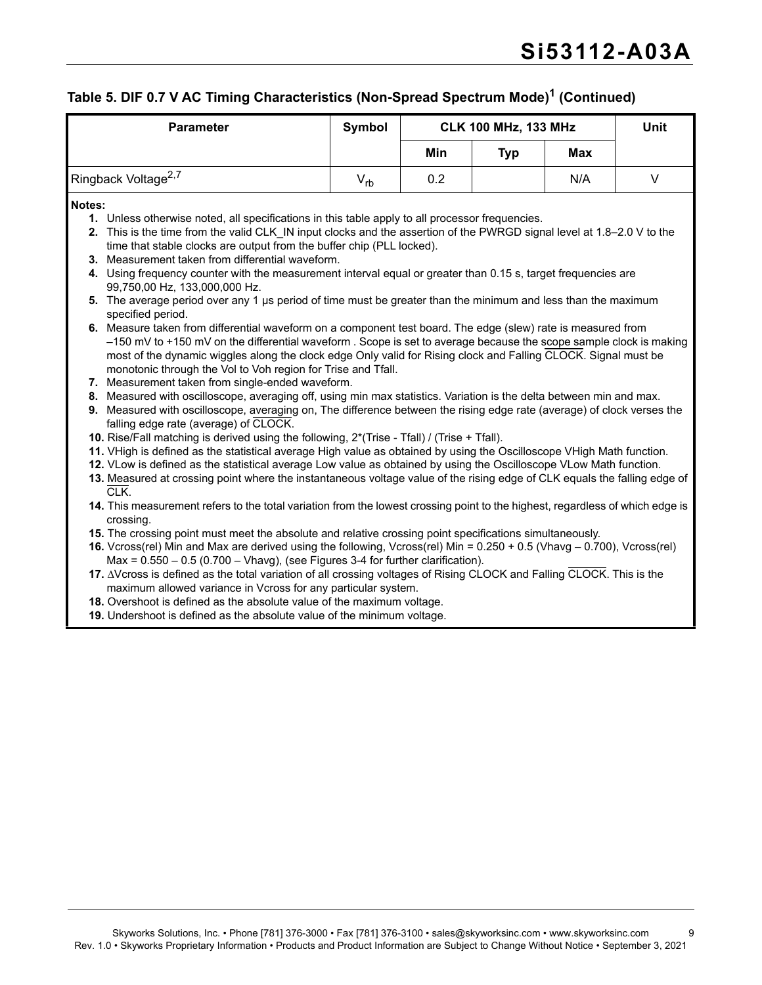# **Table 5. DIF 0.7 V AC Timing Characteristics (Non-Spread Spectrum Mode)1 (Continued)**

<span id="page-8-18"></span><span id="page-8-17"></span><span id="page-8-16"></span><span id="page-8-15"></span><span id="page-8-14"></span><span id="page-8-13"></span><span id="page-8-12"></span><span id="page-8-11"></span><span id="page-8-10"></span><span id="page-8-9"></span><span id="page-8-8"></span><span id="page-8-7"></span><span id="page-8-6"></span><span id="page-8-5"></span><span id="page-8-4"></span><span id="page-8-3"></span><span id="page-8-2"></span><span id="page-8-1"></span><span id="page-8-0"></span>

| <b>Parameter</b>                                                                                                                                                                                                                                                                                                                                                                                                                                                                                                                                                                                                                                                                                                                                                                                                                                                                                                                                                                                                                                                                                                                                                                                                                                                                                                                                                                                                                                                                                                                                                                                                                                                                                                                                                                                                                                                                                                                                                                                                                                                                                                                                                                                                                                                                                                                                                                            | <b>Symbol</b> |     | <b>CLK 100 MHz, 133 MHz</b> |     | Unit |
|---------------------------------------------------------------------------------------------------------------------------------------------------------------------------------------------------------------------------------------------------------------------------------------------------------------------------------------------------------------------------------------------------------------------------------------------------------------------------------------------------------------------------------------------------------------------------------------------------------------------------------------------------------------------------------------------------------------------------------------------------------------------------------------------------------------------------------------------------------------------------------------------------------------------------------------------------------------------------------------------------------------------------------------------------------------------------------------------------------------------------------------------------------------------------------------------------------------------------------------------------------------------------------------------------------------------------------------------------------------------------------------------------------------------------------------------------------------------------------------------------------------------------------------------------------------------------------------------------------------------------------------------------------------------------------------------------------------------------------------------------------------------------------------------------------------------------------------------------------------------------------------------------------------------------------------------------------------------------------------------------------------------------------------------------------------------------------------------------------------------------------------------------------------------------------------------------------------------------------------------------------------------------------------------------------------------------------------------------------------------------------------------|---------------|-----|-----------------------------|-----|------|
|                                                                                                                                                                                                                                                                                                                                                                                                                                                                                                                                                                                                                                                                                                                                                                                                                                                                                                                                                                                                                                                                                                                                                                                                                                                                                                                                                                                                                                                                                                                                                                                                                                                                                                                                                                                                                                                                                                                                                                                                                                                                                                                                                                                                                                                                                                                                                                                             |               | Min | <b>Typ</b>                  | Max |      |
| Ringback Voltage <sup>2,7</sup>                                                                                                                                                                                                                                                                                                                                                                                                                                                                                                                                                                                                                                                                                                                                                                                                                                                                                                                                                                                                                                                                                                                                                                                                                                                                                                                                                                                                                                                                                                                                                                                                                                                                                                                                                                                                                                                                                                                                                                                                                                                                                                                                                                                                                                                                                                                                                             | $V_{rb}$      | 0.2 |                             | N/A | V    |
| Notes:<br>1. Unless otherwise noted, all specifications in this table apply to all processor frequencies.<br>2. This is the time from the valid CLK IN input clocks and the assertion of the PWRGD signal level at 1.8–2.0 V to the<br>time that stable clocks are output from the buffer chip (PLL locked).<br>3. Measurement taken from differential waveform.<br>4. Using frequency counter with the measurement interval equal or greater than 0.15 s, target frequencies are<br>99,750,00 Hz, 133,000,000 Hz.<br>5. The average period over any 1 µs period of time must be greater than the minimum and less than the maximum<br>specified period.<br>6. Measure taken from differential waveform on a component test board. The edge (slew) rate is measured from<br>-150 mV to +150 mV on the differential waveform . Scope is set to average because the scope sample clock is making<br>most of the dynamic wiggles along the clock edge Only valid for Rising clock and Falling CLOCK. Signal must be<br>monotonic through the Vol to Voh region for Trise and Tfall.<br>7. Measurement taken from single-ended waveform.<br>8. Measured with oscilloscope, averaging off, using min max statistics. Variation is the delta between min and max.<br>9. Measured with oscilloscope, averaging on, The difference between the rising edge rate (average) of clock verses the<br>falling edge rate (average) of CLOCK.<br>10. Rise/Fall matching is derived using the following, 2*(Trise - Tfall) / (Trise + Tfall).<br>11. VHigh is defined as the statistical average High value as obtained by using the Oscilloscope VHigh Math function.<br>12. VLow is defined as the statistical average Low value as obtained by using the Oscilloscope VLow Math function.<br>13. Measured at crossing point where the instantaneous voltage value of the rising edge of CLK equals the falling edge of<br>CLK.<br>14. This measurement refers to the total variation from the lowest crossing point to the highest, regardless of which edge is<br>crossing.<br>15. The crossing point must meet the absolute and relative crossing point specifications simultaneously.<br>16. Vcross(rel) Min and Max are derived using the following, Vcross(rel) Min = 0.250 + 0.5 (Vhavg - 0.700), Vcross(rel)<br>Max = $0.550 - 0.5$ (0.700 - Vhavg), (see Figures 3-4 for further clarification). |               |     |                             |     |      |
| 17. AVcross is defined as the total variation of all crossing voltages of Rising CLOCK and Falling CLOCK. This is the<br>maximum allowed variance in Vcross for any particular system.<br>18. Overshoot is defined as the absolute value of the maximum voltage.<br>19. Undershoot is defined as the absolute value of the minimum voltage.                                                                                                                                                                                                                                                                                                                                                                                                                                                                                                                                                                                                                                                                                                                                                                                                                                                                                                                                                                                                                                                                                                                                                                                                                                                                                                                                                                                                                                                                                                                                                                                                                                                                                                                                                                                                                                                                                                                                                                                                                                                 |               |     |                             |     |      |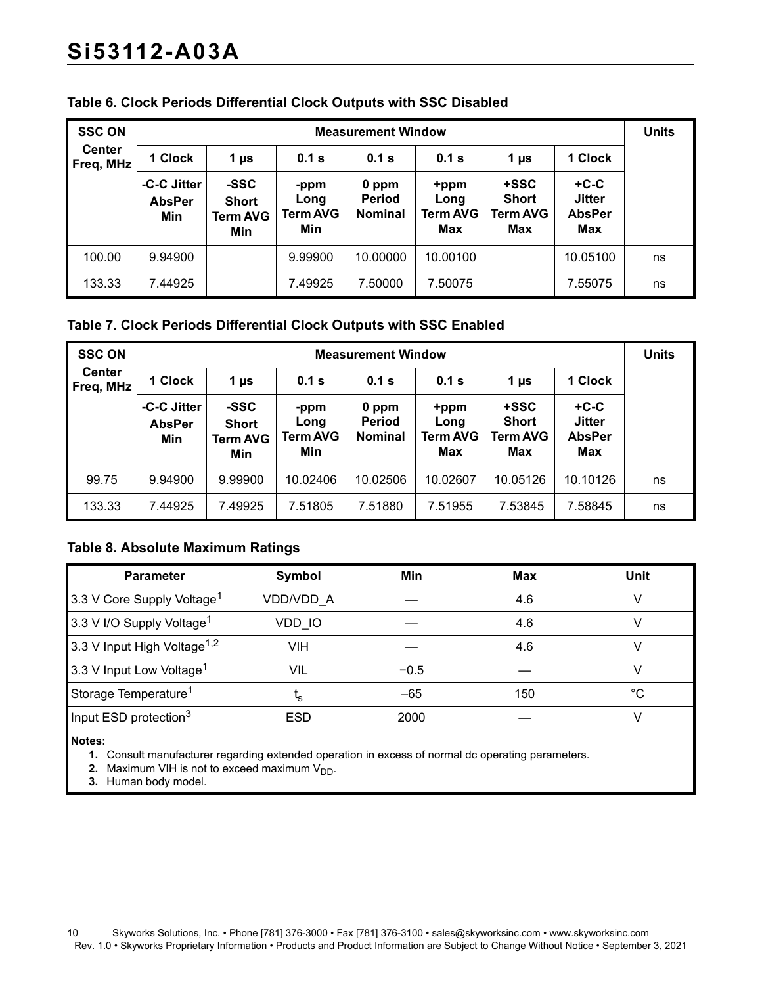| <b>SSC ON</b>              | <b>Measurement Window</b>           |                                         |                                 |                                   |                                        |                                                |                                                 |    |
|----------------------------|-------------------------------------|-----------------------------------------|---------------------------------|-----------------------------------|----------------------------------------|------------------------------------------------|-------------------------------------------------|----|
| <b>Center</b><br>Freq, MHz | 1 Clock                             | 1 µs                                    | 0.1 s                           | 0.1 s                             | 0.1 s                                  | 1 µs                                           | 1 Clock                                         |    |
|                            | -C-C Jitter<br><b>AbsPer</b><br>Min | -SSC<br><b>Short</b><br>Term AVG<br>Min | -ppm<br>Long<br>Term AVG<br>Min | 0 ppm<br>Period<br><b>Nominal</b> | +ppm<br>Long<br><b>Term AVG</b><br>Max | +SSC<br><b>Short</b><br><b>Term AVG</b><br>Max | $+C-C$<br><b>Jitter</b><br><b>AbsPer</b><br>Max |    |
| 100.00                     | 9.94900                             |                                         | 9.99900                         | 10.00000                          | 10.00100                               |                                                | 10.05100                                        | ns |
| 133.33                     | 7.44925                             |                                         | 7.49925                         | 7.50000                           | 7.50075                                |                                                | 7.55075                                         | ns |

#### **Table 6. Clock Periods Differential Clock Outputs with SSC Disabled**

#### **Table 7. Clock Periods Differential Clock Outputs with SSC Enabled**

| <b>SSC ON</b>              | <b>Measurement Window</b>           |                                                         |                                        |                                          |                                               |                                                |                                                 | <b>Units</b> |
|----------------------------|-------------------------------------|---------------------------------------------------------|----------------------------------------|------------------------------------------|-----------------------------------------------|------------------------------------------------|-------------------------------------------------|--------------|
| <b>Center</b><br>Freq, MHz | 1 Clock                             | 1 Clock<br>0.1 s<br>0.1 s<br>0.1 s<br>1 µs<br>1 $\mu$ s |                                        |                                          |                                               |                                                |                                                 |              |
|                            | -C-C Jitter<br><b>AbsPer</b><br>Min | -SSC<br><b>Short</b><br><b>Term AVG</b><br>Min          | -ppm<br>Long<br><b>Term AVG</b><br>Min | 0 ppm<br><b>Period</b><br><b>Nominal</b> | +ppm<br>Long<br><b>Term AVG</b><br><b>Max</b> | +SSC<br><b>Short</b><br><b>Term AVG</b><br>Max | $+C-C$<br><b>Jitter</b><br><b>AbsPer</b><br>Max |              |
| 99.75                      | 9.94900                             | 9.99900                                                 | 10.02406                               | 10.02506                                 | 10.02607                                      | 10.05126                                       | 10.10126                                        | ns           |
| 133.33                     | 7.44925                             | 7.49925                                                 | 7.51805                                | 7.51880                                  | 7.51955                                       | 7.53845                                        | 7.58845                                         | ns           |

#### **Table 8. Absolute Maximum Ratings**

| <b>Parameter</b>                        | Symbol         | Min    | <b>Max</b> | <b>Unit</b> |
|-----------------------------------------|----------------|--------|------------|-------------|
| 3.3 V Core Supply Voltage <sup>1</sup>  | VDD/VDD A      |        | 4.6        |             |
| 3.3 V I/O Supply Voltage <sup>1</sup>   | VDD IO         |        | 4.6        |             |
| 3.3 V Input High Voltage <sup>1,2</sup> | VIH            |        | 4.6        |             |
| 3.3 V Input Low Voltage <sup>1</sup>    | VIL            | $-0.5$ |            |             |
| Storage Temperature <sup>1</sup>        | ւ <sub>Տ</sub> | $-65$  | 150        | °C          |
| Input ESD protection <sup>3</sup>       | <b>ESD</b>     | 2000   |            |             |
|                                         |                |        |            |             |

<span id="page-9-0"></span>**Notes:**

**1.** Consult manufacturer regarding extended operation in excess of normal dc operating parameters.

- <span id="page-9-1"></span>**2.** Maximum VIH is not to exceed maximum V<sub>DD</sub>.
- <span id="page-9-2"></span>**3.** Human body model.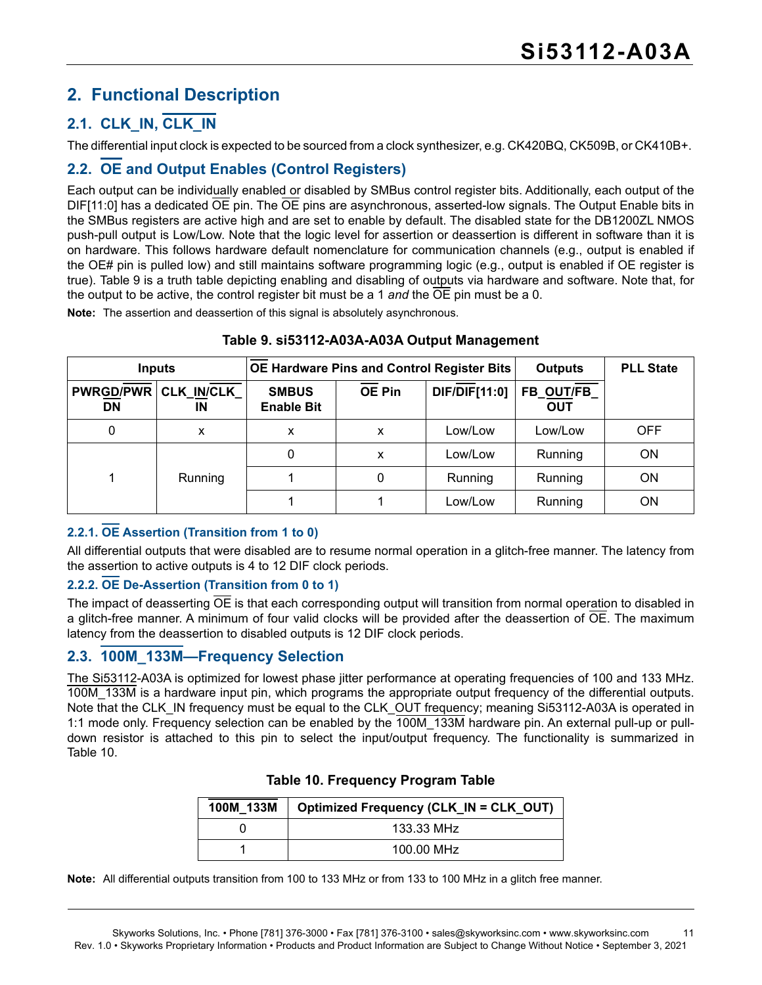# <span id="page-10-0"></span>**2. Functional Description**

# <span id="page-10-1"></span>**2.1. CLK\_IN, CLK\_IN**

The differential input clock is expected to be sourced from a clock synthesizer, e.g. CK420BQ, CK509B, or CK410B+.

### <span id="page-10-2"></span>**2.2. OE and Output Enables (Control Registers)**

Each output can be individually enabled or disabled by SMBus control register bits. Additionally, each output of the DIF[11:0] has a dedicated OE pin. The OE pins are asynchronous, asserted-low signals. The Output Enable bits in the SMBus registers are active high and are set to enable by default. The disabled state for the DB1200ZL NMOS push-pull output is Low/Low. Note that the logic level for assertion or deassertion is different in software than it is on hardware. This follows hardware default nomenclature for communication channels (e.g., output is enabled if the OE# pin is pulled low) and still maintains software programming logic (e.g., output is enabled if OE register is true). [Table 9](#page-10-5) is a truth table depicting enabling and disabling of outputs via hardware and software. Note that, for the output to be active, the control register bit must be a 1 *and* the OE pin must be a 0.

**Note:** The assertion and deassertion of this signal is absolutely asynchronous.

<span id="page-10-5"></span>

| OE Hardware Pins and Control Register Bits<br><b>Inputs</b> |                         |                                   |               | <b>Outputs</b> | <b>PLL State</b>         |            |
|-------------------------------------------------------------|-------------------------|-----------------------------------|---------------|----------------|--------------------------|------------|
| <b>PWRGD/PWR</b><br>DN                                      | <b>CLK IN/CLK</b><br>ΙN | <b>SMBUS</b><br><b>Enable Bit</b> | <b>OE Pin</b> | DIF/DIF[11:0]  | FB_OUT/FB_<br><b>OUT</b> |            |
| 0                                                           | X                       | x                                 | x             | Low/Low        | Low/Low                  | <b>OFF</b> |
|                                                             |                         | 0                                 | x             | Low/Low        | Running                  | <b>ON</b>  |
|                                                             | <b>Running</b>          |                                   | 0             | Running        | Running                  | <b>ON</b>  |
|                                                             |                         |                                   |               | Low/Low        | Running                  | ΟN         |

#### **Table 9. si53112-A03A-A03A Output Management**

#### **2.2.1. OE Assertion (Transition from 1 to 0)**

All differential outputs that were disabled are to resume normal operation in a glitch-free manner. The latency from the assertion to active outputs is 4 to 12 DIF clock periods.

#### **2.2.2. OE De-Assertion (Transition from 0 to 1)**

The impact of deasserting OE is that each corresponding output will transition from normal operation to disabled in a glitch-free manner. A minimum of four valid clocks will be provided after the deassertion of OE. The maximum latency from the deassertion to disabled outputs is 12 DIF clock periods.

#### <span id="page-10-3"></span>**2.3. 100M\_133M—Frequency Selection**

<span id="page-10-4"></span>The Si53112-A03A is optimized for lowest phase jitter performance at operating frequencies of 100 and 133 MHz. 100M 133M is a hardware input pin, which programs the appropriate output frequency of the differential outputs. Note that the CLK IN frequency must be equal to the CLK OUT frequency; meaning Si53112-A03A is operated in 1:1 mode only. Frequency selection can be enabled by the 100M\_133M hardware pin. An external pull-up or pulldown resistor is attached to this pin to select the input/output frequency. The functionality is summarized in [Table 10.](#page-10-4)

| 100M 133M | Optimized Frequency (CLK_IN = CLK_OUT) |
|-----------|----------------------------------------|
|           | 133.33 MHz                             |
|           | 100.00 MHz                             |

#### **Table 10. Frequency Program Table**

**Note:** All differential outputs transition from 100 to 133 MHz or from 133 to 100 MHz in a glitch free manner.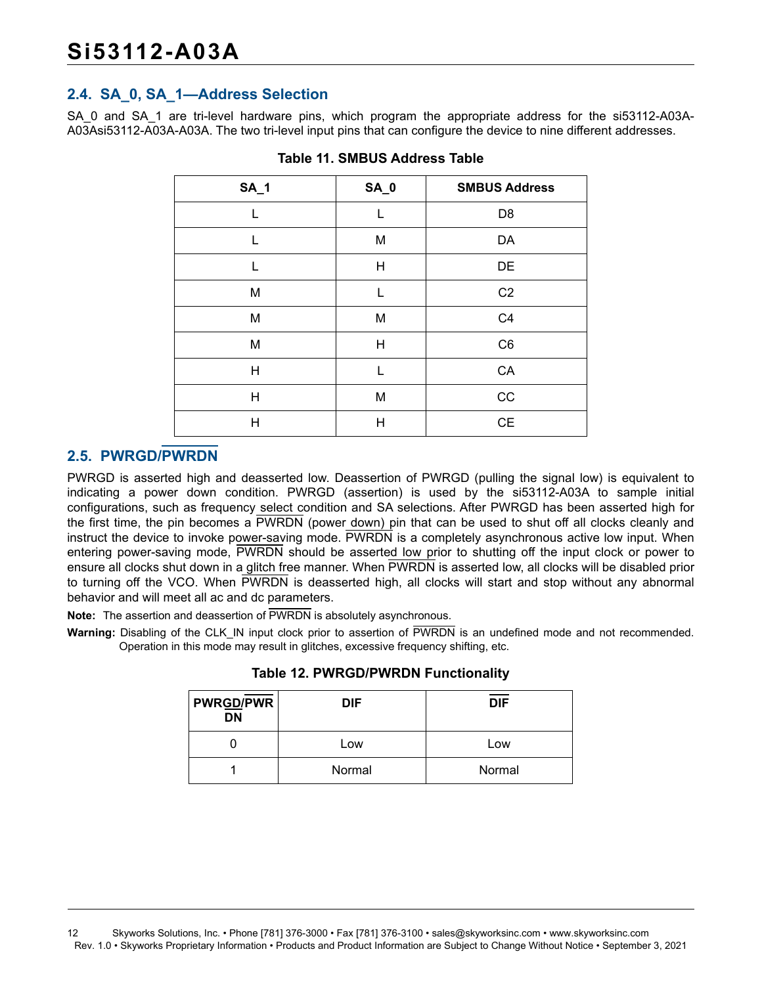#### <span id="page-11-0"></span>**2.4. SA\_0, SA\_1—Address Selection**

SA\_0 and SA\_1 are tri-level hardware pins, which program the appropriate address for the si53112-A03A-A03Asi53112-A03A-A03A. The two tri-level input pins that can configure the device to nine different addresses.

| <b>SA_1</b> | <b>SA_0</b> | <b>SMBUS Address</b> |
|-------------|-------------|----------------------|
| L           | L           | D <sub>8</sub>       |
| L           | M           | DA                   |
| L           | H           | DE                   |
| M           | L           | C <sub>2</sub>       |
| M           | M           | C <sub>4</sub>       |
| M           | H           | C <sub>6</sub>       |
| Н           | L           | CA                   |
| Η           | M           | CC                   |
| Н           | Η           | CE                   |

**Table 11. SMBUS Address Table**

#### <span id="page-11-1"></span>**2.5. PWRGD/PWRDN**

PWRGD is asserted high and deasserted low. Deassertion of PWRGD (pulling the signal low) is equivalent to indicating a power down condition. PWRGD (assertion) is used by the si53112-A03A to sample initial configurations, such as frequency select condition and SA selections. After PWRGD has been asserted high for the first time, the pin becomes a PWRDN (power down) pin that can be used to shut off all clocks cleanly and instruct the device to invoke power-saving mode. PWRDN is a completely asynchronous active low input. When entering power-saving mode, PWRDN should be asserted low prior to shutting off the input clock or power to ensure all clocks shut down in a glitch free manner. When PWRDN is asserted low, all clocks will be disabled prior to turning off the VCO. When PWRDN is deasserted high, all clocks will start and stop without any abnormal behavior and will meet all ac and dc parameters.

**Note:** The assertion and deassertion of PWRDN is absolutely asynchronous.

Warning: Disabling of the CLK IN input clock prior to assertion of PWRDN is an undefined mode and not recommended. Operation in this mode may result in glitches, excessive frequency shifting, etc.

| <b>PWRGD/PWR</b><br><b>DN</b> | <b>DIF</b> | <b>DIF</b> |
|-------------------------------|------------|------------|
|                               | Low        | Low        |
|                               | Normal     | Normal     |

**Table 12. PWRGD/PWRDN Functionality**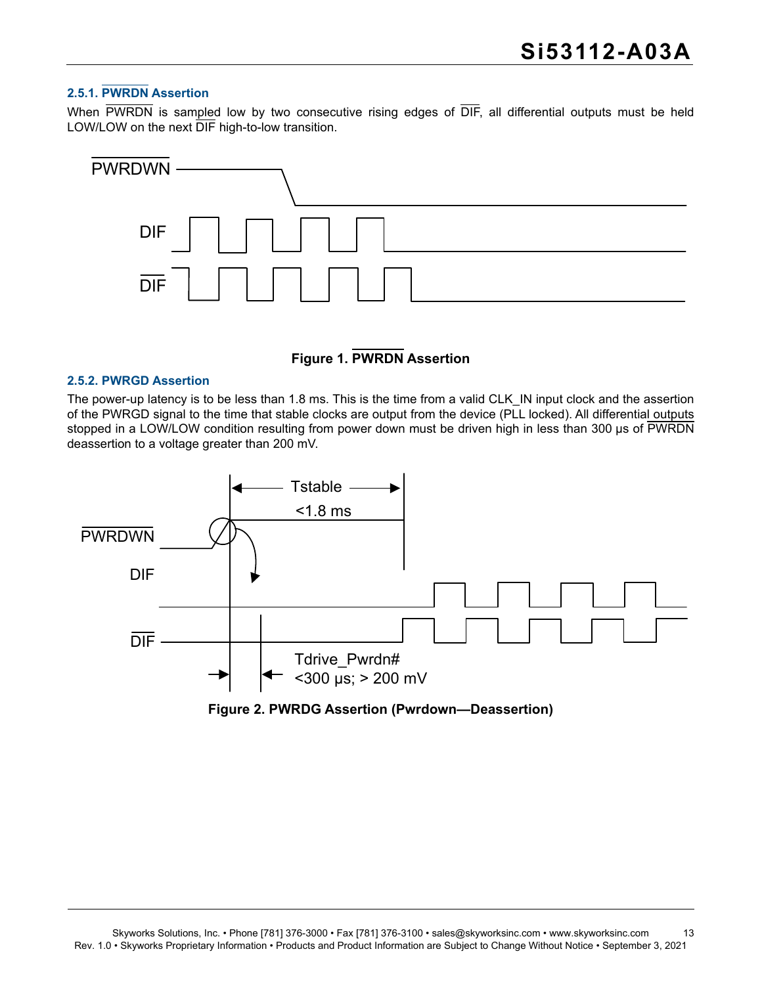#### **2.5.1. PWRDN Assertion**

When PWRDN is sampled low by two consecutive rising edges of DIF, all differential outputs must be held LOW/LOW on the next DIF high-to-low transition.



#### **Figure 1. PWRDN Assertion**

#### **2.5.2. PWRGD Assertion**

The power-up latency is to be less than 1.8 ms. This is the time from a valid CLK\_IN input clock and the assertion of the PWRGD signal to the time that stable clocks are output from the device (PLL locked). All differential outputs stopped in a LOW/LOW condition resulting from power down must be driven high in less than 300 µs of PWRDN deassertion to a voltage greater than 200 mV.



**Figure 2. PWRDG Assertion (Pwrdown—Deassertion)**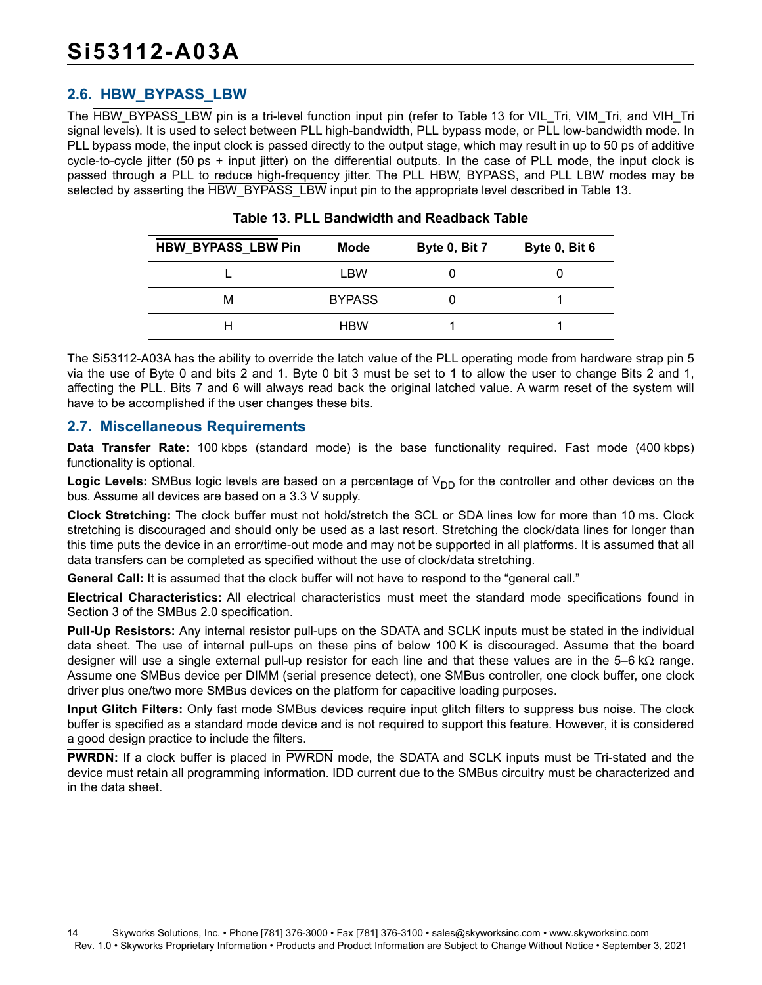#### <span id="page-13-0"></span>**2.6. HBW\_BYPASS\_LBW**

The HBW\_BYPASS\_LBW pin is a tri-level function input pin (refer to [Table 13](#page-13-2) for VIL\_Tri, VIM\_Tri, and VIH\_Tri signal levels). It is used to select between PLL high-bandwidth, PLL bypass mode, or PLL low-bandwidth mode. In PLL bypass mode, the input clock is passed directly to the output stage, which may result in up to 50 ps of additive cycle-to-cycle jitter (50 ps + input jitter) on the differential outputs. In the case of PLL mode, the input clock is passed through a PLL to reduce high-frequency jitter. The PLL HBW, BYPASS, and PLL LBW modes may be selected by asserting the HBW\_BYPASS\_LBW input pin to the appropriate level described in [Table 13.](#page-13-2)

<span id="page-13-2"></span>

| <b>HBW_BYPASS_LBW Pin</b> | <b>Mode</b>   | Byte 0, Bit 7 | Byte 0, Bit 6 |
|---------------------------|---------------|---------------|---------------|
|                           | LBW           |               |               |
| м                         | <b>BYPASS</b> |               |               |
|                           | <b>HBW</b>    |               |               |

**Table 13. PLL Bandwidth and Readback Table**

The Si53112-A03A has the ability to override the latch value of the PLL operating mode from hardware strap pin 5 via the use of Byte 0 and bits 2 and 1. Byte 0 bit 3 must be set to 1 to allow the user to change Bits 2 and 1, affecting the PLL. Bits 7 and 6 will always read back the original latched value. A warm reset of the system will have to be accomplished if the user changes these bits.

#### <span id="page-13-1"></span>**2.7. Miscellaneous Requirements**

**Data Transfer Rate:** 100 kbps (standard mode) is the base functionality required. Fast mode (400 kbps) functionality is optional.

Logic Levels: SMBus logic levels are based on a percentage of V<sub>DD</sub> for the controller and other devices on the bus. Assume all devices are based on a 3.3 V supply.

**Clock Stretching:** The clock buffer must not hold/stretch the SCL or SDA lines low for more than 10 ms. Clock stretching is discouraged and should only be used as a last resort. Stretching the clock/data lines for longer than this time puts the device in an error/time-out mode and may not be supported in all platforms. It is assumed that all data transfers can be completed as specified without the use of clock/data stretching.

**General Call:** It is assumed that the clock buffer will not have to respond to the "general call."

**Electrical Characteristics:** All electrical characteristics must meet the standard mode specifications found in Section 3 of the SMBus 2.0 specification.

**Pull-Up Resistors:** Any internal resistor pull-ups on the SDATA and SCLK inputs must be stated in the individual data sheet. The use of internal pull-ups on these pins of below 100 K is discouraged. Assume that the board designer will use a single external pull-up resistor for each line and that these values are in the 5–6 k $\Omega$  range. Assume one SMBus device per DIMM (serial presence detect), one SMBus controller, one clock buffer, one clock driver plus one/two more SMBus devices on the platform for capacitive loading purposes.

**Input Glitch Filters:** Only fast mode SMBus devices require input glitch filters to suppress bus noise. The clock buffer is specified as a standard mode device and is not required to support this feature. However, it is considered a good design practice to include the filters.

**PWRDN:** If a clock buffer is placed in PWRDN mode, the SDATA and SCLK inputs must be Tri-stated and the device must retain all programming information. IDD current due to the SMBus circuitry must be characterized and in the data sheet.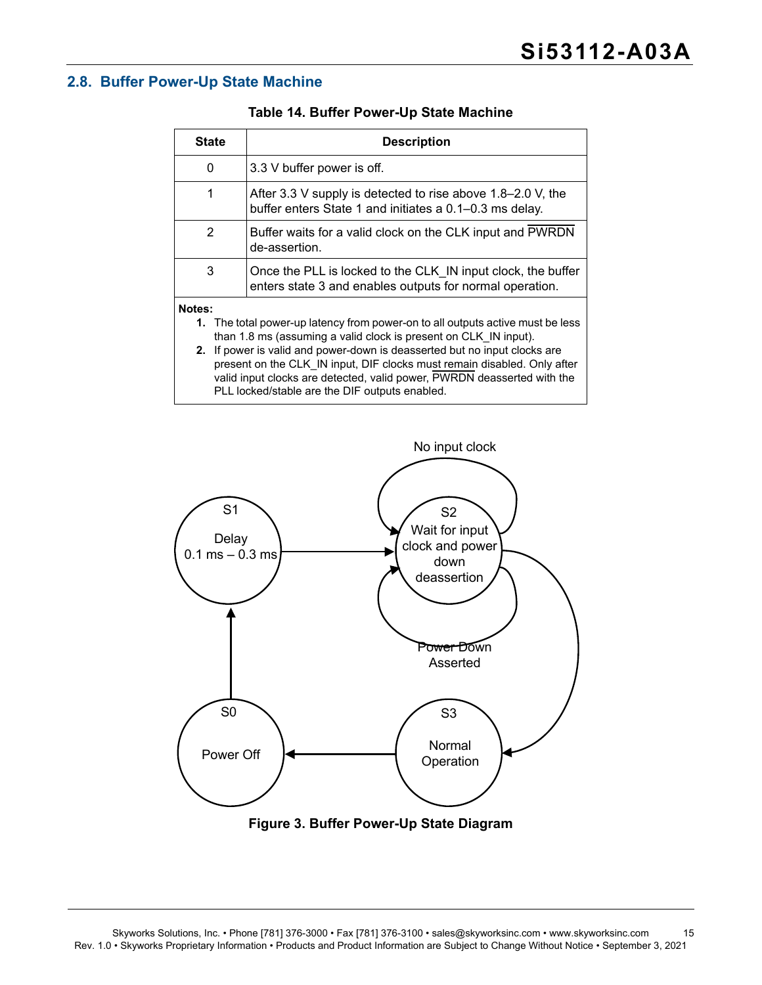#### <span id="page-14-0"></span>**2.8. Buffer Power-Up State Machine**

| <b>State</b>                                                                                                                                                                                                                                                                                                             | <b>Description</b>                                                                                                       |  |  |  |  |
|--------------------------------------------------------------------------------------------------------------------------------------------------------------------------------------------------------------------------------------------------------------------------------------------------------------------------|--------------------------------------------------------------------------------------------------------------------------|--|--|--|--|
| 0                                                                                                                                                                                                                                                                                                                        | 3.3 V buffer power is off.                                                                                               |  |  |  |  |
| 1                                                                                                                                                                                                                                                                                                                        | After 3.3 V supply is detected to rise above 1.8–2.0 V, the<br>buffer enters State 1 and initiates a 0.1-0.3 ms delay.   |  |  |  |  |
| 2                                                                                                                                                                                                                                                                                                                        | Buffer waits for a valid clock on the CLK input and PWRDN<br>de-assertion.                                               |  |  |  |  |
| 3                                                                                                                                                                                                                                                                                                                        | Once the PLL is locked to the CLK IN input clock, the buffer<br>enters state 3 and enables outputs for normal operation. |  |  |  |  |
| Notes:<br>1. The total power-up latency from power-on to all outputs active must be less<br>than 1.8 ms (assuming a valid clock is present on CLK IN input).<br>If power is valid and power-down is deasserted but no input clocks are<br>2.<br>present on the CLK IN input, DIF clocks must remain disabled. Only after |                                                                                                                          |  |  |  |  |

valid input clocks are detected, valid power, PWRDN deasserted with the

PLL locked/stable are the DIF outputs enabled.

#### **Table 14. Buffer Power-Up State Machine**

# Power Off S0 Normal **Operation** S3 Power Down Asserted Delay  $0.1$  ms  $-0.3$  ms S1 Wait for input clock and power down deassertion S2 No input clock

**Figure 3. Buffer Power-Up State Diagram**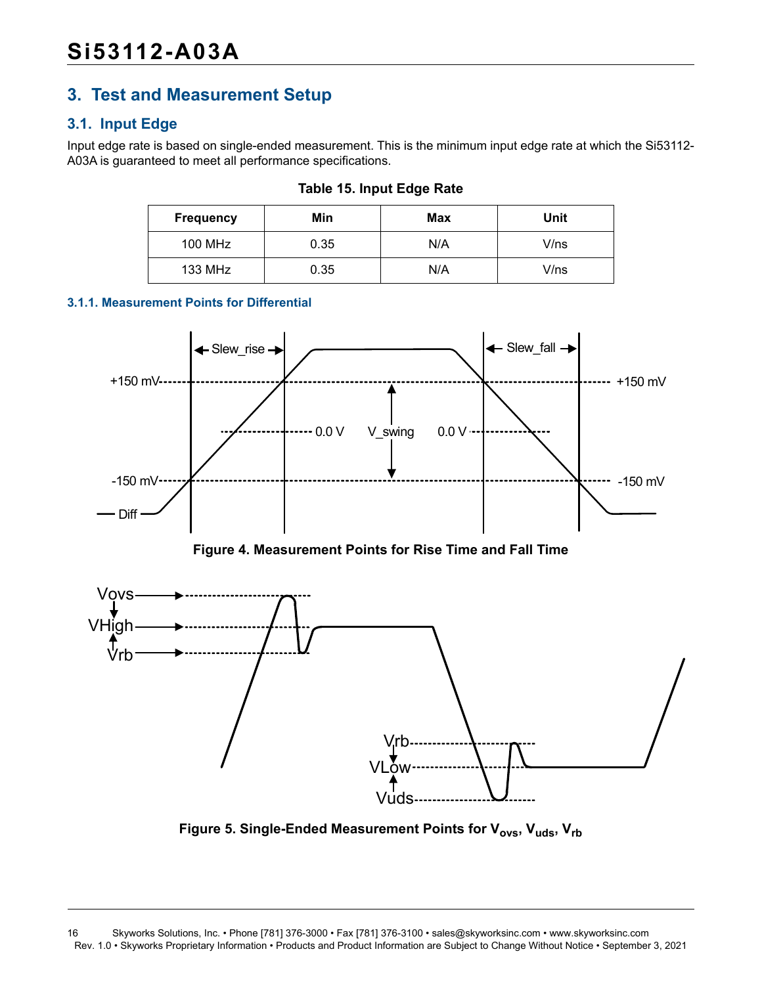# <span id="page-15-0"></span>**3. Test and Measurement Setup**

### <span id="page-15-1"></span>**3.1. Input Edge**

Input edge rate is based on single-ended measurement. This is the minimum input edge rate at which the Si53112- A03A is guaranteed to meet all performance specifications.

| <b>Frequency</b> | Min  | Max | Unit |
|------------------|------|-----|------|
| 100 MHz          | 0.35 | N/A | V/ns |
| 133 MHz          | 0.35 | N/A | V/ns |

**Table 15. Input Edge Rate**

#### **3.1.1. Measurement Points for Differential**



**Figure 4. Measurement Points for Rise Time and Fall Time**



Figure 5. Single-Ended Measurement Points for V<sub>ovs</sub>, V<sub>uds</sub>, V<sub>rb</sub>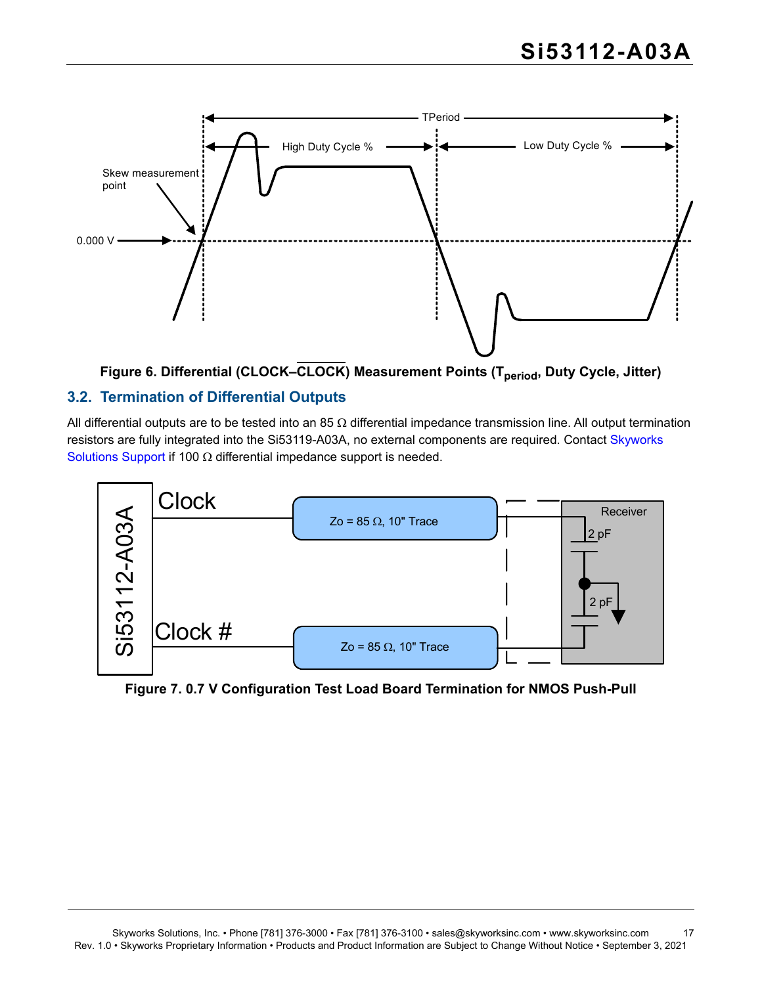



#### <span id="page-16-0"></span>**3.2. Termination of Differential Outputs**

All differential outputs are to be tested into an 85  $\Omega$  differential impedance transmission line. All output termination resistors are fully integrated into the Si53119-A03A, no external components are required. Contact [Skyworks](https://www.skyworksinc.com/en/Support)  [Solutions Support](https://www.skyworksinc.com/en/Support) if 100  $\Omega$  differential impedance support is needed.



**Figure 7. 0.7 V Configuration Test Load Board Termination for NMOS Push-Pull**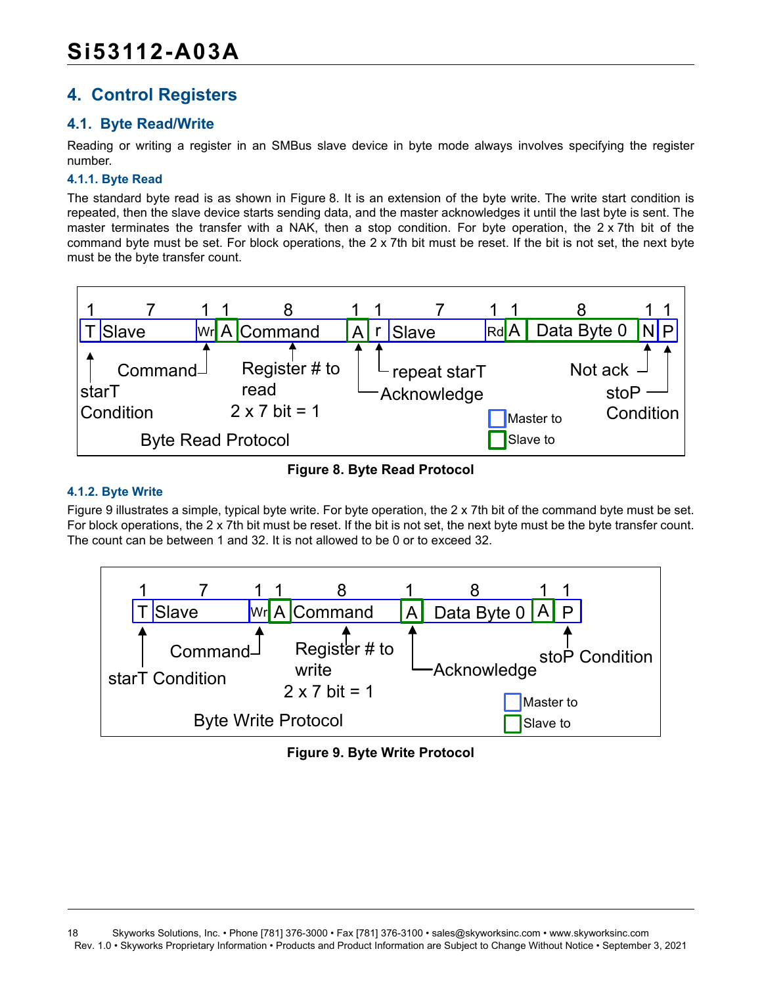# <span id="page-17-0"></span>**4. Control Registers**

### <span id="page-17-1"></span>**4.1. Byte Read/Write**

Reading or writing a register in an SMBus slave device in byte mode always involves specifying the register number.

#### **4.1.1. Byte Read**

The standard byte read is as shown in [Figure 8](#page-17-2). It is an extension of the byte write. The write start condition is repeated, then the slave device starts sending data, and the master acknowledges it until the last byte is sent. The master terminates the transfer with a NAK, then a stop condition. For byte operation, the 2 x 7th bit of the command byte must be set. For block operations, the 2 x 7th bit must be reset. If the bit is not set, the next byte must be the byte transfer count.



**Figure 8. Byte Read Protocol**

#### <span id="page-17-2"></span>**4.1.2. Byte Write**

[Figure 9](#page-17-3) illustrates a simple, typical byte write. For byte operation, the 2 x 7th bit of the command byte must be set. For block operations, the 2 x 7th bit must be reset. If the bit is not set, the next byte must be the byte transfer count. The count can be between 1 and 32. It is not allowed to be 0 or to exceed 32.

<span id="page-17-3"></span>

**Figure 9. Byte Write Protocol**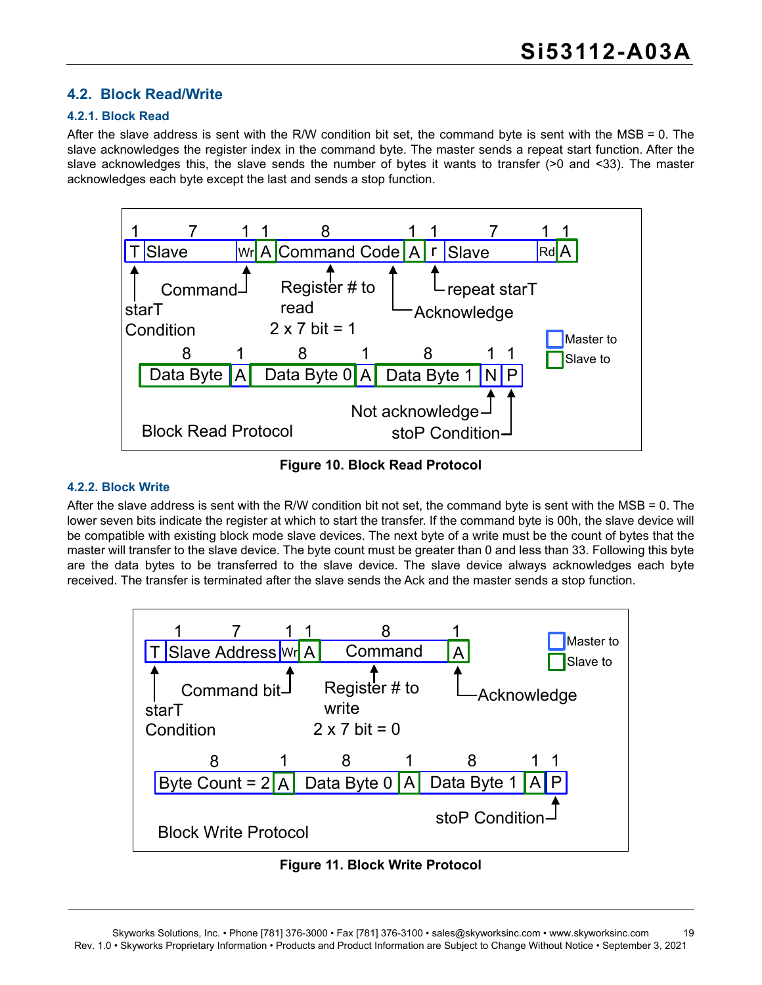#### <span id="page-18-0"></span>**4.2. Block Read/Write**

#### **4.2.1. Block Read**

After the slave address is sent with the R/W condition bit set, the command byte is sent with the MSB = 0. The slave acknowledges the register index in the command byte. The master sends a repeat start function. After the slave acknowledges this, the slave sends the number of bytes it wants to transfer (>0 and <33). The master acknowledges each byte except the last and sends a stop function.



**Figure 10. Block Read Protocol**

#### **4.2.2. Block Write**

After the slave address is sent with the R/W condition bit not set, the command byte is sent with the MSB = 0. The lower seven bits indicate the register at which to start the transfer. If the command byte is 00h, the slave device will be compatible with existing block mode slave devices. The next byte of a write must be the count of bytes that the master will transfer to the slave device. The byte count must be greater than 0 and less than 33. Following this byte are the data bytes to be transferred to the slave device. The slave device always acknowledges each byte received. The transfer is terminated after the slave sends the Ack and the master sends a stop function.



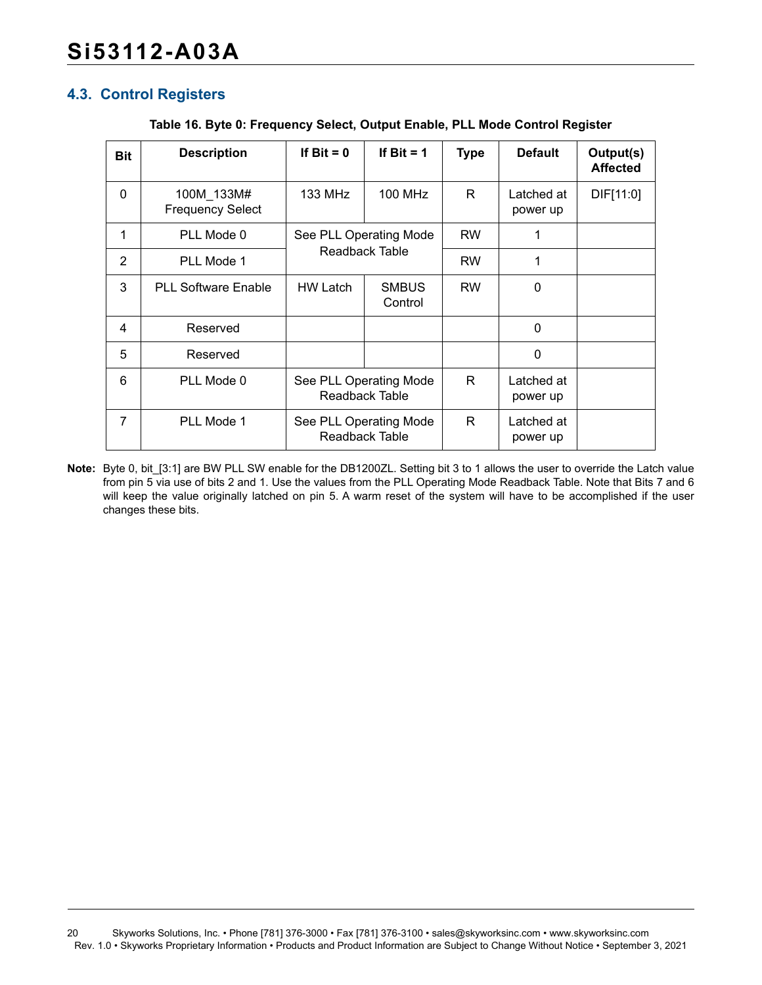#### <span id="page-19-0"></span>**4.3. Control Registers**

|  |  | Table 16. Byte 0: Frequency Select, Output Enable, PLL Mode Control Register |
|--|--|------------------------------------------------------------------------------|
|  |  |                                                                              |

| <b>Bit</b>   | <b>Description</b>                    | If $Bit = 0$                             | If Bit $= 1$                             | <b>Type</b> | <b>Default</b>         | Output(s)<br><b>Affected</b> |
|--------------|---------------------------------------|------------------------------------------|------------------------------------------|-------------|------------------------|------------------------------|
| $\mathbf{0}$ | 100M 133M#<br><b>Frequency Select</b> | 133 MHz                                  | 100 MHz                                  | R.          | Latched at<br>power up | DIF[11:0]                    |
| 1            | PLL Mode 0                            | See PLL Operating Mode<br>Readback Table |                                          | <b>RW</b>   | 1                      |                              |
| 2            | PLL Mode 1                            |                                          |                                          | <b>RW</b>   | 1                      |                              |
| 3            | <b>PLL Software Enable</b>            | <b>HW Latch</b>                          | <b>SMBUS</b><br>Control                  | <b>RW</b>   | 0                      |                              |
| 4            | Reserved                              |                                          |                                          |             | $\mathbf{0}$           |                              |
| 5            | Reserved                              |                                          |                                          |             | $\mathbf{0}$           |                              |
| 6            | PLL Mode 0                            | See PLL Operating Mode<br>Readback Table |                                          | R.          | Latched at<br>power up |                              |
| 7            | PLL Mode 1                            |                                          | See PLL Operating Mode<br>Readback Table |             | Latched at<br>power up |                              |

**Note:** Byte 0, bit\_[3:1] are BW PLL SW enable for the DB1200ZL. Setting bit 3 to 1 allows the user to override the Latch value from pin 5 via use of bits 2 and 1. Use the values from the PLL Operating Mode Readback Table. Note that Bits 7 and 6 will keep the value originally latched on pin 5. A warm reset of the system will have to be accomplished if the user changes these bits.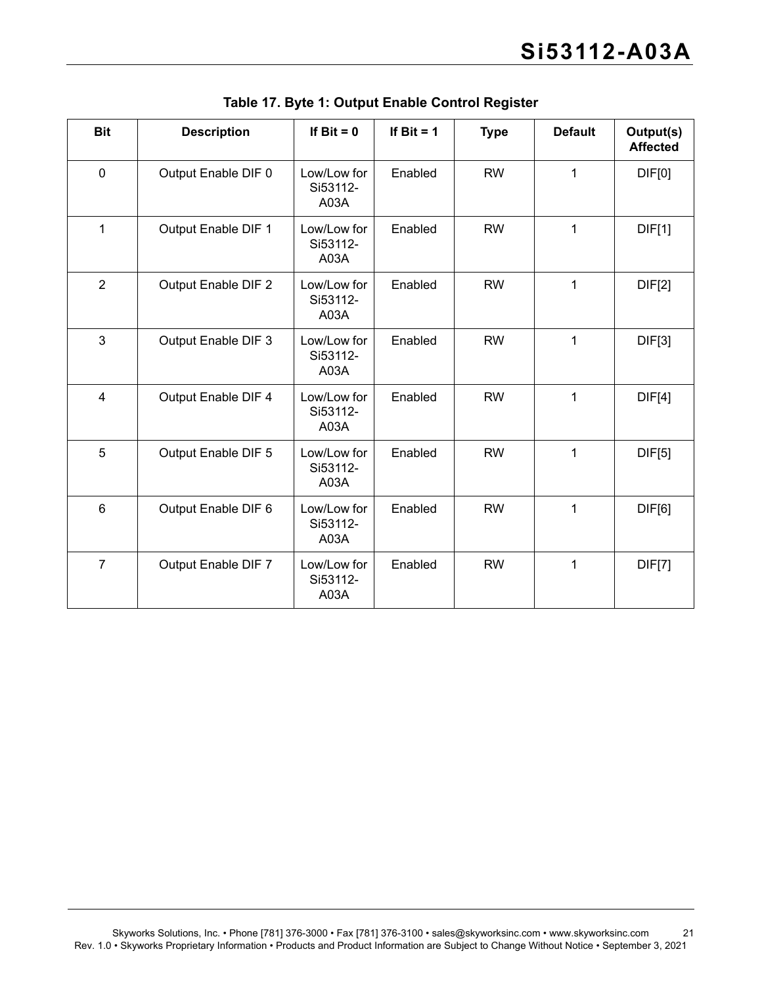| <b>Bit</b>     | <b>Description</b>  | If $Bit = 0$                    | If Bit $= 1$ | <b>Type</b> | <b>Default</b> | Output(s)<br><b>Affected</b> |
|----------------|---------------------|---------------------------------|--------------|-------------|----------------|------------------------------|
| $\mathbf 0$    | Output Enable DIF 0 | Low/Low for<br>Si53112-<br>A03A | Enabled      | <b>RW</b>   | 1              | DIF[0]                       |
| $\mathbf{1}$   | Output Enable DIF 1 | Low/Low for<br>Si53112-<br>A03A | Enabled      | <b>RW</b>   | 1              | DIF[1]                       |
| $\overline{2}$ | Output Enable DIF 2 | Low/Low for<br>Si53112-<br>A03A | Enabled      | <b>RW</b>   | 1              | DIF[2]                       |
| 3              | Output Enable DIF 3 | Low/Low for<br>Si53112-<br>A03A | Enabled      | <b>RW</b>   | 1              | DIF[3]                       |
| 4              | Output Enable DIF 4 | Low/Low for<br>Si53112-<br>A03A | Enabled      | <b>RW</b>   | 1              | DIF[4]                       |
| 5              | Output Enable DIF 5 | Low/Low for<br>Si53112-<br>A03A | Enabled      | <b>RW</b>   | 1              | DIF[5]                       |
| $6\phantom{1}$ | Output Enable DIF 6 | Low/Low for<br>Si53112-<br>A03A | Enabled      | <b>RW</b>   | 1              | DIF[6]                       |
| $\overline{7}$ | Output Enable DIF 7 | Low/Low for<br>Si53112-<br>A03A | Enabled      | <b>RW</b>   | $\mathbf 1$    | <b>DIF[7]</b>                |

**Table 17. Byte 1: Output Enable Control Register**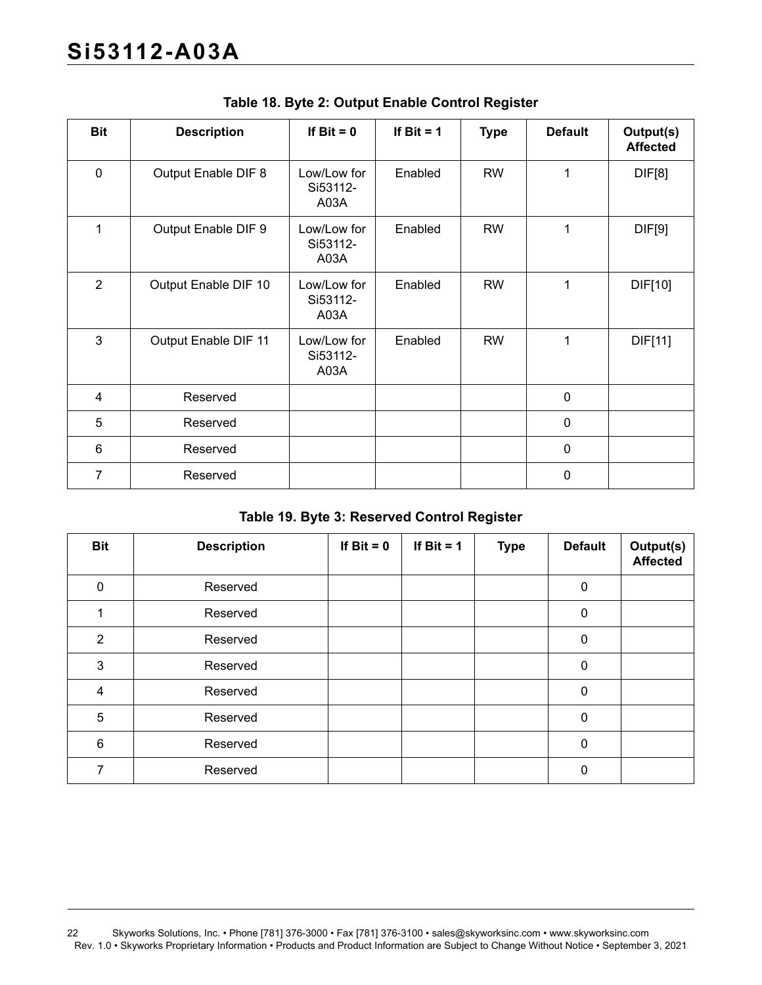| <b>Bit</b>     | <b>Description</b>   | If $Bit = 0$                    | If $Bit = 1$ | <b>Type</b> | <b>Default</b> | Output(s)<br><b>Affected</b> |
|----------------|----------------------|---------------------------------|--------------|-------------|----------------|------------------------------|
| $\mathbf 0$    | Output Enable DIF 8  | Low/Low for<br>Si53112-<br>A03A | Enabled      | <b>RW</b>   | 1              | <b>DIF[8]</b>                |
| 1              | Output Enable DIF 9  | Low/Low for<br>Si53112-<br>A03A | Enabled      | <b>RW</b>   | 1              | DIF[9]                       |
| $\overline{2}$ | Output Enable DIF 10 | Low/Low for<br>Si53112-<br>A03A | Enabled      | <b>RW</b>   | 1              | DIF[10]                      |
| $\mathbf{3}$   | Output Enable DIF 11 | Low/Low for<br>Si53112-<br>A03A | Enabled      | <b>RW</b>   | 1              | DIF[11]                      |
| 4              | Reserved             |                                 |              |             | $\mathbf 0$    |                              |
| 5              | Reserved             |                                 |              |             | $\mathbf 0$    |                              |
| 6              | Reserved             |                                 |              |             | $\mathbf 0$    |                              |
| 7              | Reserved             |                                 |              |             | $\mathbf 0$    |                              |

**Table 18. Byte 2: Output Enable Control Register**

#### **Table 19. Byte 3: Reserved Control Register**

| <b>Bit</b>     | <b>Description</b> | If $Bit = 0$ | If Bit $= 1$ | <b>Type</b> | <b>Default</b> | Output(s)<br><b>Affected</b> |
|----------------|--------------------|--------------|--------------|-------------|----------------|------------------------------|
| $\Omega$       | Reserved           |              |              |             | 0              |                              |
|                | Reserved           |              |              |             | 0              |                              |
| $\overline{2}$ | Reserved           |              |              |             | 0              |                              |
| 3              | Reserved           |              |              |             | 0              |                              |
| 4              | Reserved           |              |              |             | 0              |                              |
| 5              | Reserved           |              |              |             | 0              |                              |
| 6              | Reserved           |              |              |             | 0              |                              |
| 7              | Reserved           |              |              |             | $\mathbf{0}$   |                              |

<sup>22</sup> Skyworks Solutions, Inc. • Phone [781] 376-3000 • Fax [781] 376-3100 • sales@skyworksinc.com • www.skyworksinc.com Rev. 1.0 • Skyworks Proprietary Information • Products and Product Information are Subject to Change Without Notice • September 3, 2021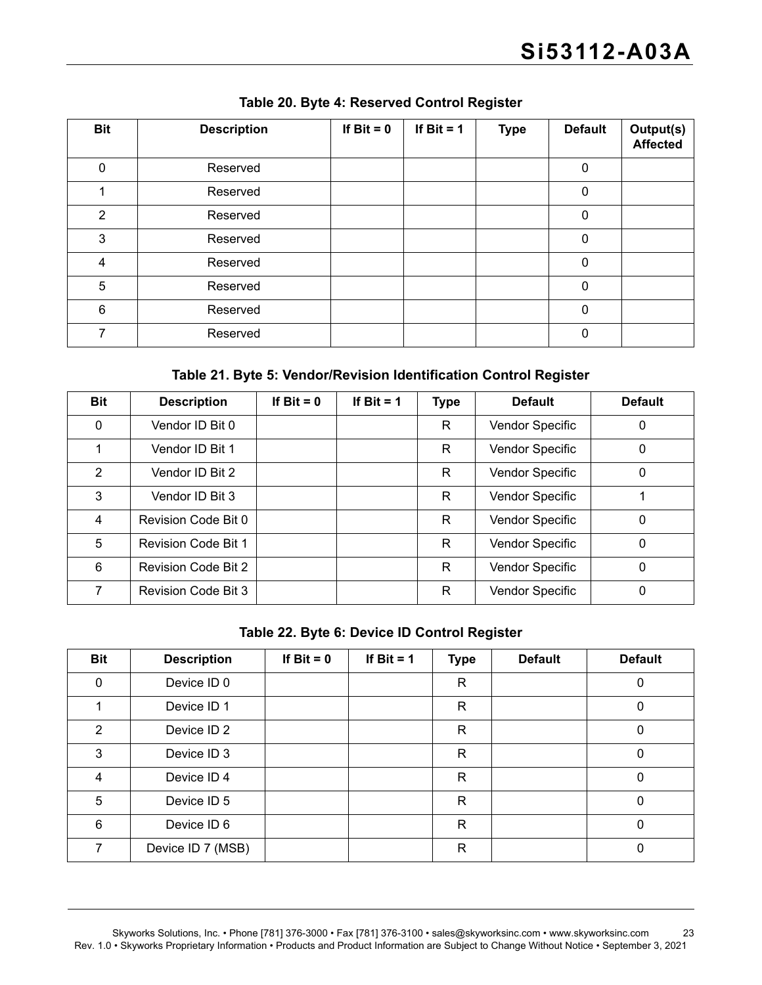| <b>Bit</b>  | <b>Description</b> | If $Bit = 0$ | If $Bit = 1$ | <b>Type</b> | <b>Default</b> | Output(s)<br><b>Affected</b> |
|-------------|--------------------|--------------|--------------|-------------|----------------|------------------------------|
| $\mathbf 0$ | Reserved           |              |              |             | 0              |                              |
|             | Reserved           |              |              |             | $\mathbf 0$    |                              |
| 2           | Reserved           |              |              |             | $\mathbf 0$    |                              |
| 3           | Reserved           |              |              |             | $\mathbf 0$    |                              |
| 4           | Reserved           |              |              |             | 0              |                              |
| 5           | Reserved           |              |              |             | 0              |                              |
| 6           | Reserved           |              |              |             | $\mathbf 0$    |                              |
| 7           | Reserved           |              |              |             | $\mathbf{0}$   |                              |

**Table 20. Byte 4: Reserved Control Register**

#### **Table 21. Byte 5: Vendor/Revision Identification Control Register**

| <b>Bit</b>    | <b>Description</b>         | If $Bit = 0$ | If Bit = $1$ | <b>Type</b> | <b>Default</b>  | <b>Default</b> |
|---------------|----------------------------|--------------|--------------|-------------|-----------------|----------------|
| $\mathbf{0}$  | Vendor ID Bit 0            |              |              | R           | Vendor Specific | 0              |
|               | Vendor ID Bit 1            |              |              | R           | Vendor Specific | 0              |
| $\mathcal{P}$ | Vendor ID Bit 2            |              |              | R           | Vendor Specific | 0              |
| 3             | Vendor ID Bit 3            |              |              | R           | Vendor Specific |                |
| 4             | Revision Code Bit 0        |              |              | R           | Vendor Specific | 0              |
| 5             | <b>Revision Code Bit 1</b> |              |              | R           | Vendor Specific | 0              |
| 6             | <b>Revision Code Bit 2</b> |              |              | R           | Vendor Specific | 0              |
| 7             | <b>Revision Code Bit 3</b> |              |              | R           | Vendor Specific | 0              |

**Table 22. Byte 6: Device ID Control Register**

| <b>Bit</b>   | <b>Description</b> | If $Bit = 0$ | If Bit $= 1$ | <b>Type</b>  | <b>Default</b> | <b>Default</b> |
|--------------|--------------------|--------------|--------------|--------------|----------------|----------------|
| $\mathbf{0}$ | Device ID 0        |              |              | R            |                | 0              |
|              | Device ID 1        |              |              | R            |                | 0              |
| 2            | Device ID 2        |              |              | R            |                | 0              |
| 3            | Device ID 3        |              |              | R            |                | 0              |
| 4            | Device ID 4        |              |              | $\mathsf{R}$ |                | 0              |
| 5            | Device ID 5        |              |              | R            |                | 0              |
| 6            | Device ID 6        |              |              | R            |                | 0              |
| 7            | Device ID 7 (MSB)  |              |              | R            |                | 0              |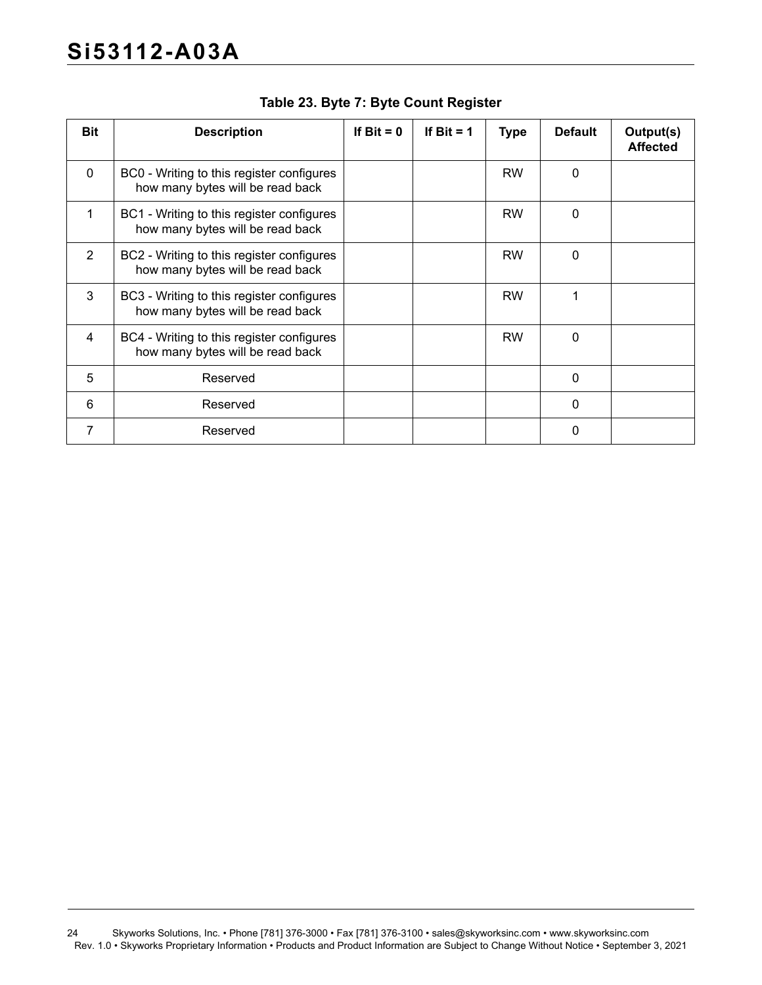| <b>Bit</b> | <b>Description</b>                                                            | If $Bit = 0$ | If Bit = $1$ | <b>Type</b> | <b>Default</b> | Output(s)<br><b>Affected</b> |
|------------|-------------------------------------------------------------------------------|--------------|--------------|-------------|----------------|------------------------------|
| $\Omega$   | BC0 - Writing to this register configures<br>how many bytes will be read back |              |              | <b>RW</b>   | $\mathbf{0}$   |                              |
| 1          | BC1 - Writing to this register configures<br>how many bytes will be read back |              |              | <b>RW</b>   | 0              |                              |
| 2          | BC2 - Writing to this register configures<br>how many bytes will be read back |              |              | <b>RW</b>   | 0              |                              |
| 3          | BC3 - Writing to this register configures<br>how many bytes will be read back |              |              | <b>RW</b>   | 1              |                              |
| 4          | BC4 - Writing to this register configures<br>how many bytes will be read back |              |              | <b>RW</b>   | $\Omega$       |                              |
| 5          | Reserved                                                                      |              |              |             | $\mathbf 0$    |                              |
| 6          | Reserved                                                                      |              |              |             | $\mathbf 0$    |                              |
| 7          | Reserved                                                                      |              |              |             | 0              |                              |

**Table 23. Byte 7: Byte Count Register**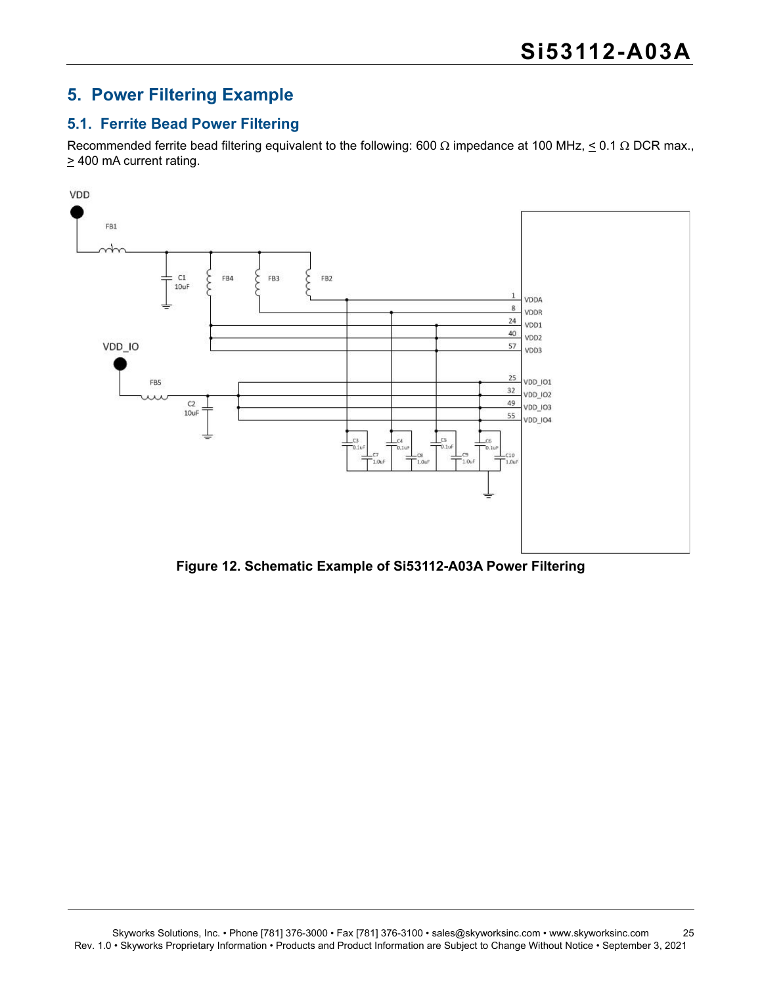### <span id="page-24-0"></span>**5. Power Filtering Example**

#### <span id="page-24-1"></span>**5.1. Ferrite Bead Power Filtering**

Recommended ferrite bead filtering equivalent to the following: 600  $\Omega$  impedance at 100 MHz,  $\leq$  0.1  $\Omega$  DCR max.,  $\geq$  400 mA current rating.



**Figure 12. Schematic Example of Si53112-A03A Power Filtering**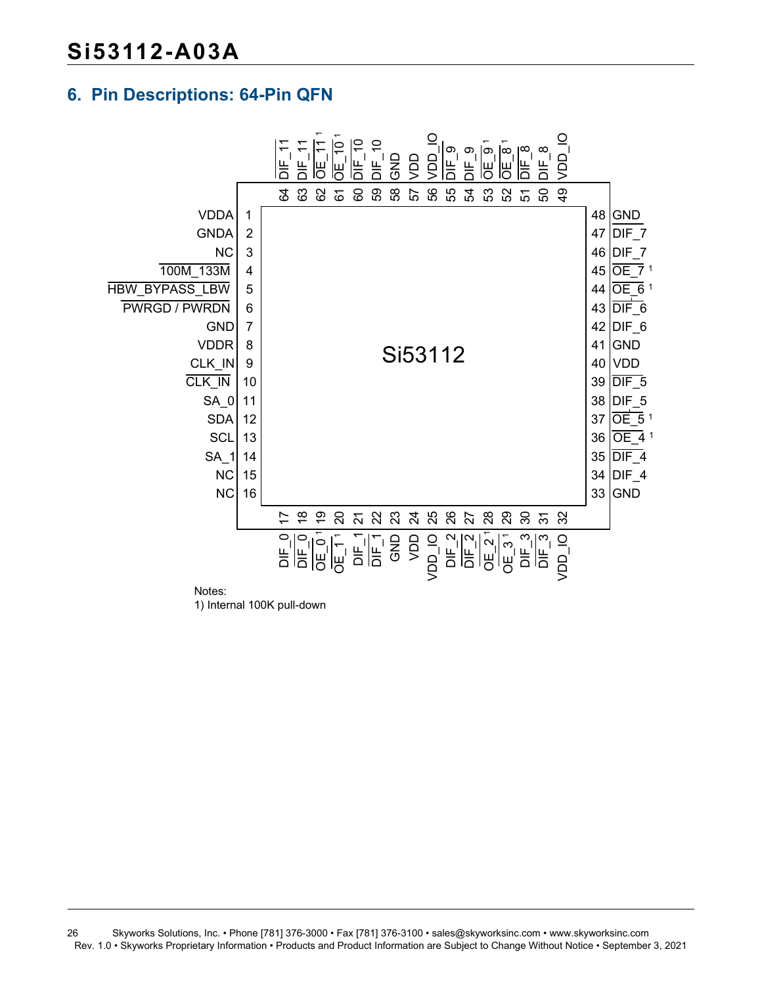### <span id="page-25-0"></span>**6. Pin Descriptions: 64-Pin QFN**



Notes:

1) Internal 100K pull-down

26 Skyworks Solutions, Inc. • Phone [781] 376-3000 • Fax [781] 376-3100 • sales@skyworksinc.com • www.skyworksinc.com Rev. 1.0 • Skyworks Proprietary Information • Products and Product Information are Subject to Change Without Notice • September 3, 2021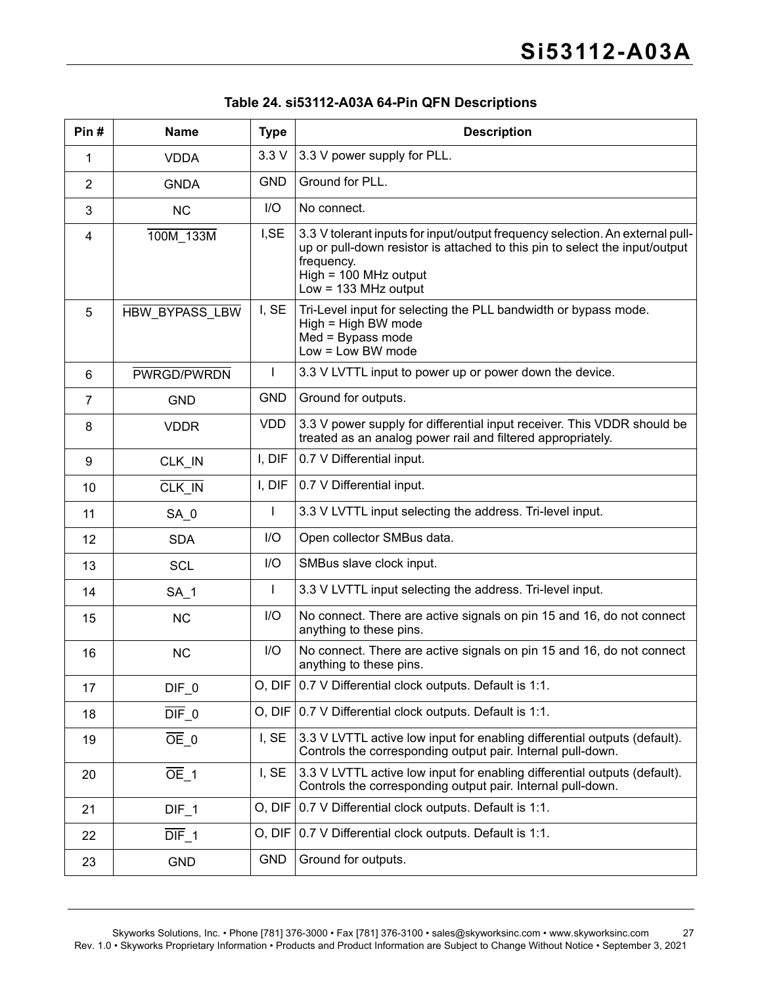| Pin#           | <b>Name</b>           | <b>Type</b>  | <b>Description</b>                                                                                                                                                                                                              |
|----------------|-----------------------|--------------|---------------------------------------------------------------------------------------------------------------------------------------------------------------------------------------------------------------------------------|
| 1              | <b>VDDA</b>           | 3.3V         | 3.3 V power supply for PLL.                                                                                                                                                                                                     |
| 2              | <b>GNDA</b>           | <b>GND</b>   | Ground for PLL.                                                                                                                                                                                                                 |
| 3              | <b>NC</b>             | I/O          | No connect.                                                                                                                                                                                                                     |
| 4              | 100M_133M             | I, SE        | 3.3 V tolerant inputs for input/output frequency selection. An external pull-<br>up or pull-down resistor is attached to this pin to select the input/output<br>frequency.<br>$High = 100 MHz output$<br>Low = $133$ MHz output |
| 5              | <b>HBW BYPASS LBW</b> | I, SE        | Tri-Level input for selecting the PLL bandwidth or bypass mode.<br>High = High BW mode<br>$Med = Bypass mode$<br>$Low = Low BW mode$                                                                                            |
| 6              | PWRGD/PWRDN           | L            | 3.3 V LVTTL input to power up or power down the device.                                                                                                                                                                         |
| $\overline{7}$ | <b>GND</b>            | <b>GND</b>   | Ground for outputs.                                                                                                                                                                                                             |
| 8              | <b>VDDR</b>           | VDD          | 3.3 V power supply for differential input receiver. This VDDR should be<br>treated as an analog power rail and filtered appropriately.                                                                                          |
| 9              | CLK_IN                | I, DIF       | 0.7 V Differential input.                                                                                                                                                                                                       |
| 10             | CLK IN                | I, DIF       | 0.7 V Differential input.                                                                                                                                                                                                       |
| 11             | SA <sub>0</sub>       |              | 3.3 V LVTTL input selecting the address. Tri-level input.                                                                                                                                                                       |
| 12             | <b>SDA</b>            | I/O          | Open collector SMBus data.                                                                                                                                                                                                      |
| 13             | <b>SCL</b>            | I/O          | SMBus slave clock input.                                                                                                                                                                                                        |
| 14             | SA <sub>1</sub>       | $\mathbf{I}$ | 3.3 V LVTTL input selecting the address. Tri-level input.                                                                                                                                                                       |
| 15             | <b>NC</b>             | I/O          | No connect. There are active signals on pin 15 and 16, do not connect<br>anything to these pins.                                                                                                                                |
| 16             | <b>NC</b>             | I/O          | No connect. There are active signals on pin 15 and 16, do not connect<br>anything to these pins.                                                                                                                                |
| 17             | DIF <sub>0</sub>      |              | O, DIF 0.7 V Differential clock outputs. Default is 1:1.                                                                                                                                                                        |
| 18             | $\overline{DIF}$ 0    | O, DIF       | 0.7 V Differential clock outputs. Default is 1:1.                                                                                                                                                                               |
| 19             | $OE$ 0                | I, SE        | 3.3 V LVTTL active low input for enabling differential outputs (default).<br>Controls the corresponding output pair. Internal pull-down.                                                                                        |
| 20             | $\overline{OE}$ 1     | I, SE        | 3.3 V LVTTL active low input for enabling differential outputs (default).<br>Controls the corresponding output pair. Internal pull-down.                                                                                        |
| 21             | $DIF_1$               | O, DIF       | 0.7 V Differential clock outputs. Default is 1:1.                                                                                                                                                                               |
| 22             | $DIF_1$               | O, DIF       | 0.7 V Differential clock outputs. Default is 1:1.                                                                                                                                                                               |
| 23             | GND                   | <b>GND</b>   | Ground for outputs.                                                                                                                                                                                                             |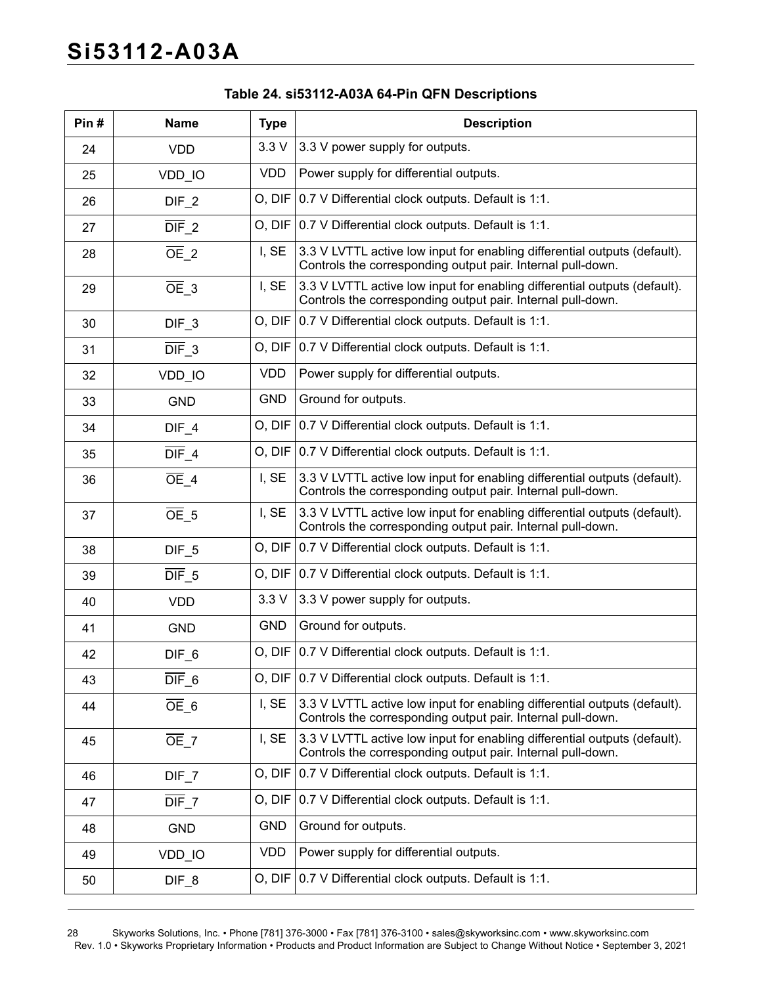| Pin# | <b>Name</b>        | <b>Type</b> | <b>Description</b>                                                                                                                       |
|------|--------------------|-------------|------------------------------------------------------------------------------------------------------------------------------------------|
| 24   | <b>VDD</b>         | 3.3V        | 3.3 V power supply for outputs.                                                                                                          |
| 25   | VDD_IO             | <b>VDD</b>  | Power supply for differential outputs.                                                                                                   |
| 26   | $DIF_2$            |             | O, DIF   0.7 V Differential clock outputs. Default is 1:1.                                                                               |
| 27   | $\overline{DIF}$ 2 |             | O, DIF   0.7 V Differential clock outputs. Default is 1:1.                                                                               |
| 28   | $\overline{OE}$ 2  | I, SE       | 3.3 V LVTTL active low input for enabling differential outputs (default).<br>Controls the corresponding output pair. Internal pull-down. |
| 29   | $\overline{OE}$ 3  | I, SE       | 3.3 V LVTTL active low input for enabling differential outputs (default).<br>Controls the corresponding output pair. Internal pull-down. |
| 30   | $DIF_3$            | O, DIF      | 0.7 V Differential clock outputs. Default is 1:1.                                                                                        |
| 31   | $\overline{DIF}$ 3 |             | O, DIF   0.7 V Differential clock outputs. Default is 1:1.                                                                               |
| 32   | VDD_IO             | <b>VDD</b>  | Power supply for differential outputs.                                                                                                   |
| 33   | <b>GND</b>         | <b>GND</b>  | Ground for outputs.                                                                                                                      |
| 34   | $DIF_4$            | O, DIF      | 0.7 V Differential clock outputs. Default is 1:1.                                                                                        |
| 35   | $\overline{DIF}$ 4 |             | O, DIF   0.7 V Differential clock outputs. Default is 1:1.                                                                               |
| 36   | $\overline{OE}$ 4  | I, SE       | 3.3 V LVTTL active low input for enabling differential outputs (default).<br>Controls the corresponding output pair. Internal pull-down. |
| 37   | $OE$ 5             | I, SE       | 3.3 V LVTTL active low input for enabling differential outputs (default).<br>Controls the corresponding output pair. Internal pull-down. |
| 38   | DIF <sub>5</sub>   |             | O, DIF   0.7 V Differential clock outputs. Default is 1:1.                                                                               |
| 39   | $\overline{DIF}$ 5 | O, DIF      | 0.7 V Differential clock outputs. Default is 1:1.                                                                                        |
| 40   | <b>VDD</b>         | 3.3V        | 3.3 V power supply for outputs.                                                                                                          |
| 41   | <b>GND</b>         | <b>GND</b>  | Ground for outputs.                                                                                                                      |
| 42   | DIF <sub>6</sub>   |             | O, DIF   0.7 V Differential clock outputs. Default is 1:1.                                                                               |
| 43   | $\overline{DIF}$ 6 | O, DIF      | 0.7 V Differential clock outputs. Default is 1:1.                                                                                        |
| 44   | $OE_6$             | I, SE       | 3.3 V LVTTL active low input for enabling differential outputs (default).<br>Controls the corresponding output pair. Internal pull-down. |
| 45   | $\overline{OE}$ 7  | I, SE       | 3.3 V LVTTL active low input for enabling differential outputs (default).<br>Controls the corresponding output pair. Internal pull-down. |
| 46   | $DIF_7$            | O, DIF      | 0.7 V Differential clock outputs. Default is 1:1.                                                                                        |
| 47   | $\overline{DIF}$ 7 | O, DIF      | 0.7 V Differential clock outputs. Default is 1:1.                                                                                        |
| 48   | <b>GND</b>         | <b>GND</b>  | Ground for outputs.                                                                                                                      |
| 49   | VDD_IO             | <b>VDD</b>  | Power supply for differential outputs.                                                                                                   |
| 50   | $DIF_8$            |             | O, DIF   0.7 V Differential clock outputs. Default is 1:1.                                                                               |

28 Skyworks Solutions, Inc. • Phone [781] 376-3000 • Fax [781] 376-3100 • sales@skyworksinc.com • www.skyworksinc.com Rev. 1.0 • Skyworks Proprietary Information • Products and Product Information are Subject to Change Without Notice • September 3, 2021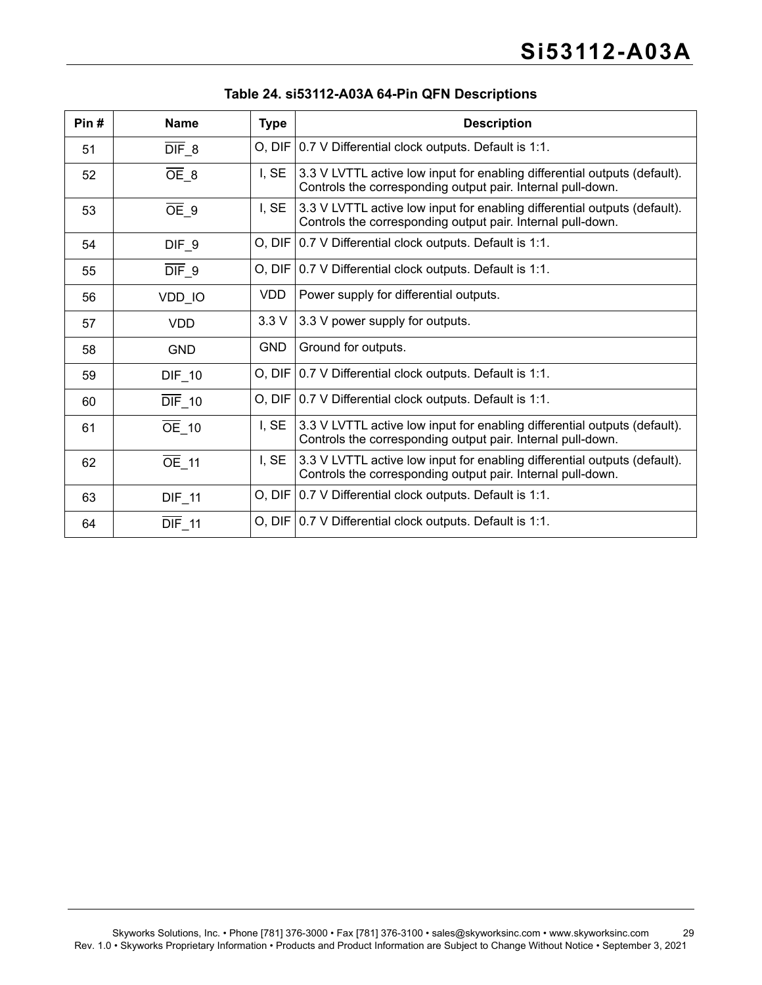| Pin# | <b>Name</b>         | <b>Type</b> | <b>Description</b>                                                                                                                       |
|------|---------------------|-------------|------------------------------------------------------------------------------------------------------------------------------------------|
| 51   | $\overline{DIF}$ 8  |             | O, DIF   0.7 V Differential clock outputs. Default is 1:1.                                                                               |
| 52   | $OE_8$              | I, SE       | 3.3 V LVTTL active low input for enabling differential outputs (default).<br>Controls the corresponding output pair. Internal pull-down. |
| 53   | $\overline{OE}$ 9   | I, SE       | 3.3 V LVTTL active low input for enabling differential outputs (default).<br>Controls the corresponding output pair. Internal pull-down. |
| 54   | DIF <sub>9</sub>    |             | O, DIF   0.7 V Differential clock outputs. Default is 1:1.                                                                               |
| 55   | $\overline{DIF}$ 9  |             | O, DIF   0.7 V Differential clock outputs. Default is 1:1.                                                                               |
| 56   | VDD_IO              | VDD.        | Power supply for differential outputs.                                                                                                   |
| 57   | <b>VDD</b>          | 3.3V        | 3.3 V power supply for outputs.                                                                                                          |
| 58   | <b>GND</b>          | <b>GND</b>  | Ground for outputs.                                                                                                                      |
| 59   | $DIF_10$            |             | O, DIF   0.7 V Differential clock outputs. Default is 1:1.                                                                               |
| 60   | $\overline{DIF}$ 10 |             | O, DIF   0.7 V Differential clock outputs. Default is 1:1.                                                                               |
| 61   | $\overline{OE}$ 10  | I, SE       | 3.3 V LVTTL active low input for enabling differential outputs (default).<br>Controls the corresponding output pair. Internal pull-down. |
| 62   | $\overline{OE}$ 11  | I, SE       | 3.3 V LVTTL active low input for enabling differential outputs (default).<br>Controls the corresponding output pair. Internal pull-down. |
| 63   | $DIF_111$           |             | O, DIF   0.7 V Differential clock outputs. Default is 1:1.                                                                               |
| 64   | <b>DIF_11</b>       |             | O, DIF   0.7 V Differential clock outputs. Default is 1:1.                                                                               |

#### **Table 24. si53112-A03A 64-Pin QFN Descriptions**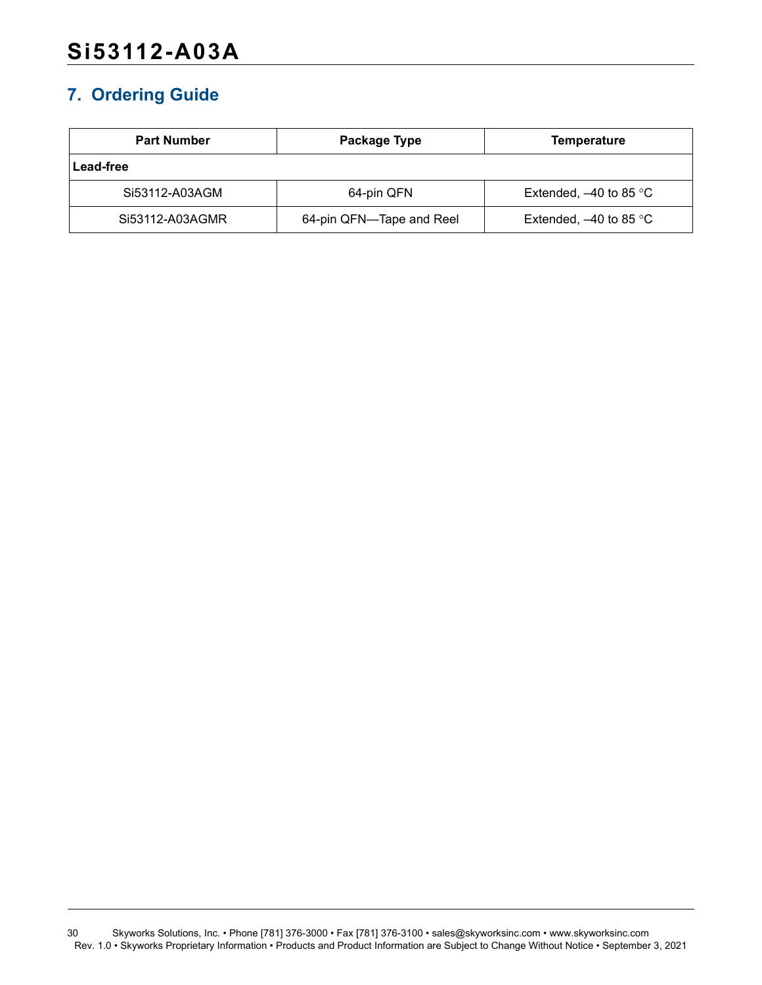# <span id="page-29-0"></span>**7. Ordering Guide**

| <b>Part Number</b> | Package Type             | Temperature                        |  |
|--------------------|--------------------------|------------------------------------|--|
| Lead-free          |                          |                                    |  |
| Si53112-A03AGM     | 64-pin QFN               | Extended, $-40$ to 85 °C           |  |
| Si53112-A03AGMR    | 64-pin QFN—Tape and Reel | Extended, $-40$ to 85 $^{\circ}$ C |  |

30 Skyworks Solutions, Inc. • Phone [781] 376-3000 • Fax [781] 376-3100 • sales@skyworksinc.com • www.skyworksinc.com Rev. 1.0 • Skyworks Proprietary Information • Products and Product Information are Subject to Change Without Notice • September 3, 2021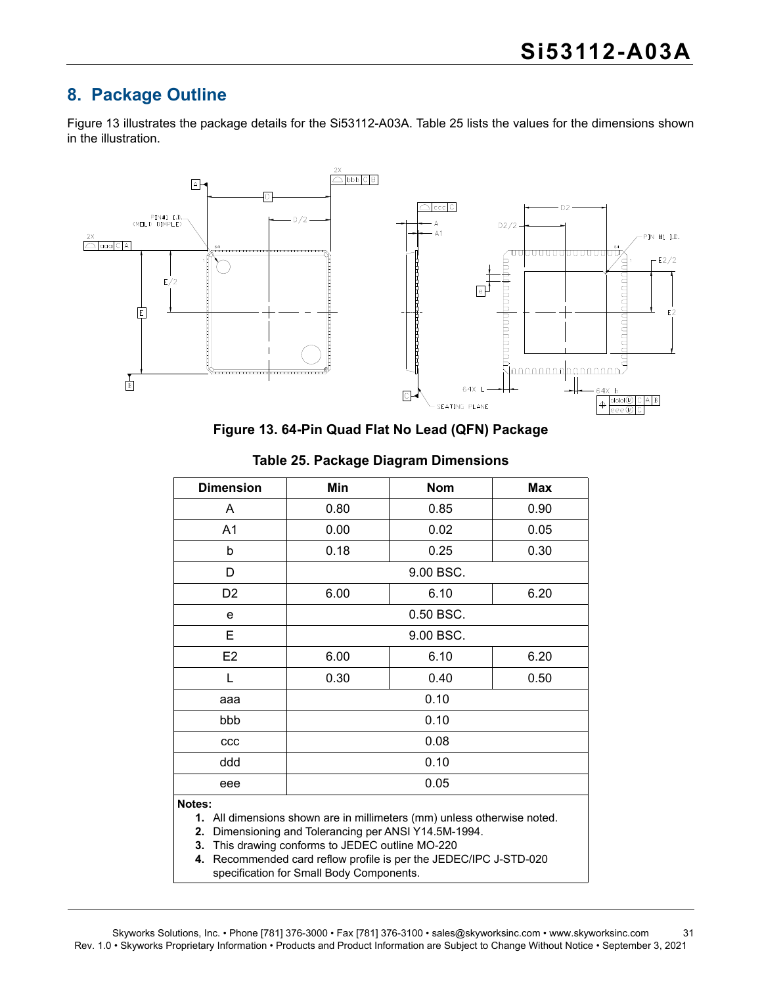# <span id="page-30-0"></span>**8. Package Outline**

[Figure 13](#page-30-1) illustrates the package details for the Si53112-A03A. [Table 25](#page-30-2) lists the values for the dimensions shown in the illustration.



**Figure 13. 64-Pin Quad Flat No Lead (QFN) Package**

<span id="page-30-2"></span><span id="page-30-1"></span>

| <b>Dimension</b> | Min       | <b>Nom</b> | <b>Max</b> |  |  |  |
|------------------|-----------|------------|------------|--|--|--|
| A                | 0.80      | 0.85       | 0.90       |  |  |  |
| A <sub>1</sub>   | 0.00      | 0.02       | 0.05       |  |  |  |
| b                | 0.18      | 0.25       | 0.30       |  |  |  |
| D                | 9.00 BSC. |            |            |  |  |  |
| D <sub>2</sub>   | 6.00      | 6.10       | 6.20       |  |  |  |
| e                | 0.50 BSC. |            |            |  |  |  |
| Е                | 9.00 BSC. |            |            |  |  |  |
| E <sub>2</sub>   | 6.00      | 6.10       | 6.20       |  |  |  |
| L                | 0.30      | 0.40       | 0.50       |  |  |  |
| aaa              |           | 0.10       |            |  |  |  |
| bbb              | 0.10      |            |            |  |  |  |
| ccc              | 0.08      |            |            |  |  |  |
| ddd              | 0.10      |            |            |  |  |  |
| eee              | 0.05      |            |            |  |  |  |
| . .              |           |            |            |  |  |  |

#### **Table 25. Package Diagram Dimensions**

#### **Notes:**

**1.** All dimensions shown are in millimeters (mm) unless otherwise noted.

**2.** Dimensioning and Tolerancing per ANSI Y14.5M-1994.

**3.** This drawing conforms to JEDEC outline MO-220

**4.** Recommended card reflow profile is per the JEDEC/IPC J-STD-020 specification for Small Body Components.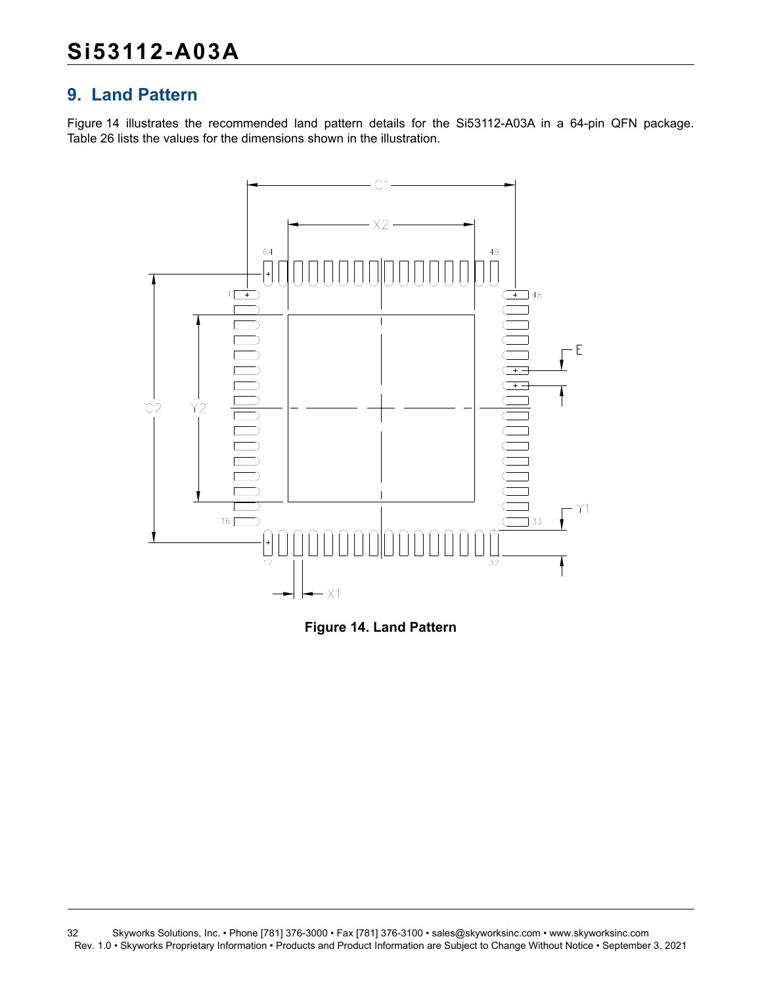# <span id="page-31-0"></span>**9. Land Pattern**

[Figure 14](#page-31-1) illustrates the recommended land pattern details for the Si53112-A03A in a 64-pin QFN package. [Table 26](#page-32-0) lists the values for the dimensions shown in the illustration.



<span id="page-31-1"></span>

<sup>32</sup> Skyworks Solutions, Inc. • Phone [781] 376-3000 • Fax [781] 376-3100 • sales@skyworksinc.com • www.skyworksinc.com Rev. 1.0 • Skyworks Proprietary Information • Products and Product Information are Subject to Change Without Notice • September 3, 2021